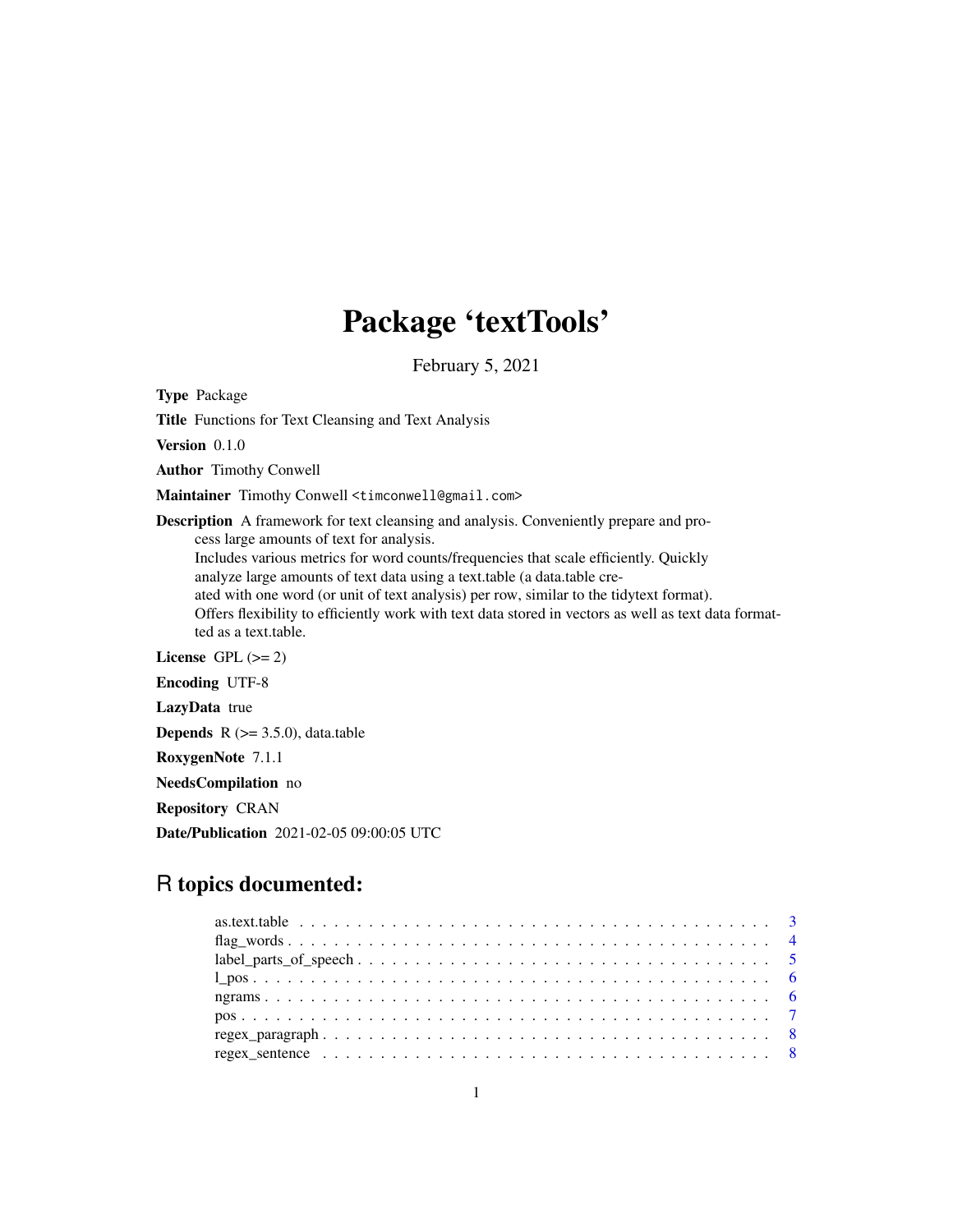# Package 'textTools'

February 5, 2021

Type Package

Title Functions for Text Cleansing and Text Analysis

Version 0.1.0

Author Timothy Conwell

Maintainer Timothy Conwell <timconwell@gmail.com>

Description A framework for text cleansing and analysis. Conveniently prepare and process large amounts of text for analysis. Includes various metrics for word counts/frequencies that scale efficiently. Quickly analyze large amounts of text data using a text.table (a data.table created with one word (or unit of text analysis) per row, similar to the tidytext format). Offers flexibility to efficiently work with text data stored in vectors as well as text data format-

ted as a text.table. License GPL  $(>= 2)$ 

Encoding UTF-8

LazyData true

**Depends**  $R$  ( $> = 3.5.0$ ), data.table

RoxygenNote 7.1.1

NeedsCompilation no

Repository CRAN

Date/Publication 2021-02-05 09:00:05 UTC

# R topics documented: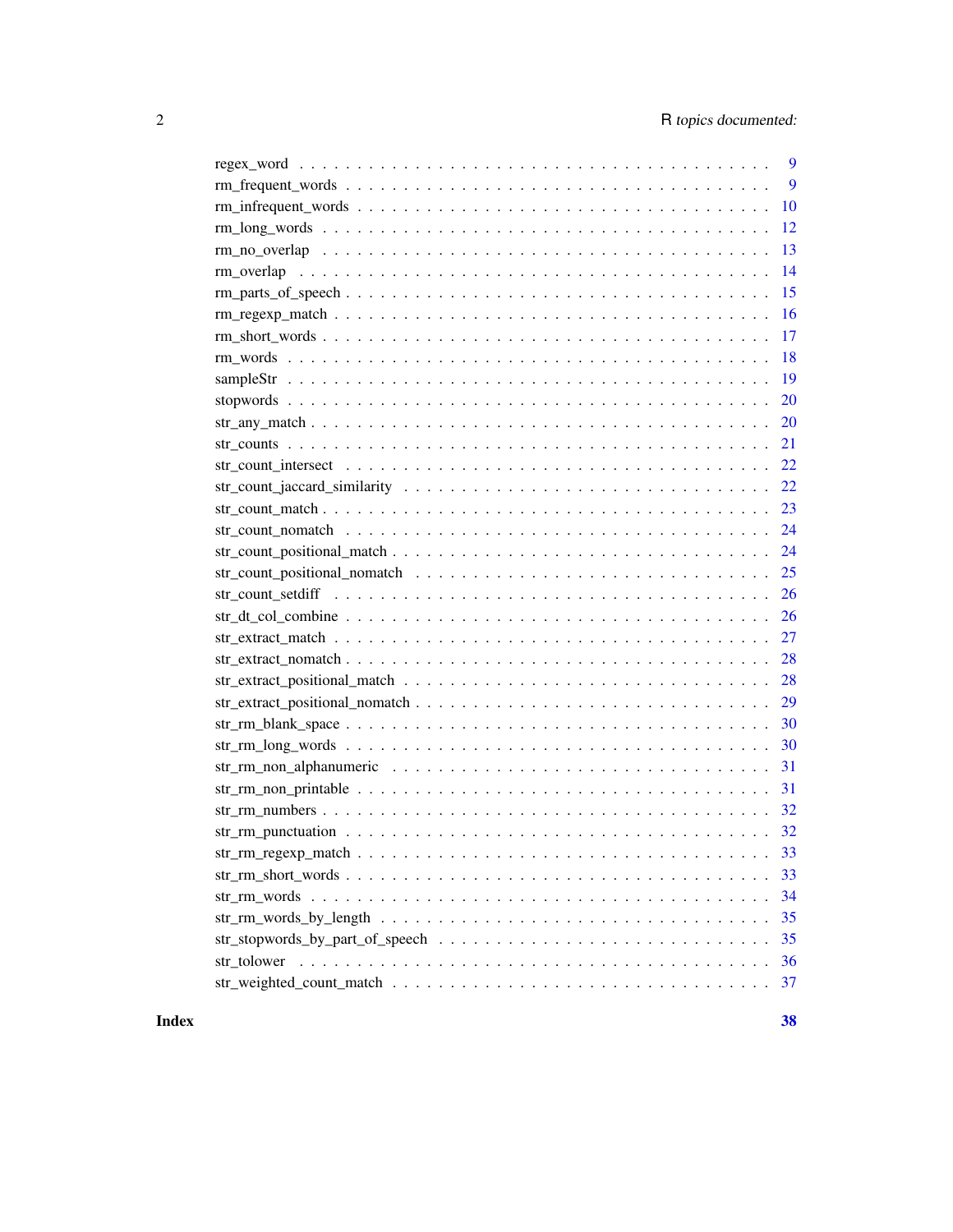| 9                                                                                                                       |
|-------------------------------------------------------------------------------------------------------------------------|
| 9                                                                                                                       |
| 10                                                                                                                      |
| 12                                                                                                                      |
| 13                                                                                                                      |
| 14                                                                                                                      |
| 15<br>$rm_parts\_of_ppeech \ldots \ldots \ldots \ldots \ldots \ldots \ldots \ldots \ldots \ldots \ldots \ldots \ldots$  |
| 16                                                                                                                      |
| 17                                                                                                                      |
| 18                                                                                                                      |
| 19                                                                                                                      |
| 20                                                                                                                      |
| 20                                                                                                                      |
| 21                                                                                                                      |
| 22                                                                                                                      |
| 22                                                                                                                      |
| 23                                                                                                                      |
| 24                                                                                                                      |
| $str\_count\_positional\_match \dots \dots \dots \dots \dots \dots \dots \dots \dots \dots \dots \dots \dots$<br>24     |
| 25                                                                                                                      |
| 26                                                                                                                      |
| 26                                                                                                                      |
| 27                                                                                                                      |
| 28                                                                                                                      |
| 28                                                                                                                      |
| 29                                                                                                                      |
| $str\_rm\_blank\_space \dots \dots \dots \dots \dots \dots \dots \dots \dots \dots \dots \dots \dots \dots \dots$<br>30 |
| 30                                                                                                                      |
| 31                                                                                                                      |
| 31                                                                                                                      |
| 32                                                                                                                      |
|                                                                                                                         |
| 33                                                                                                                      |
| 33                                                                                                                      |
| 34                                                                                                                      |
| 35                                                                                                                      |
| 35                                                                                                                      |
| str tolower<br>36                                                                                                       |
| 37                                                                                                                      |

#### **Index** [38](#page-37-0)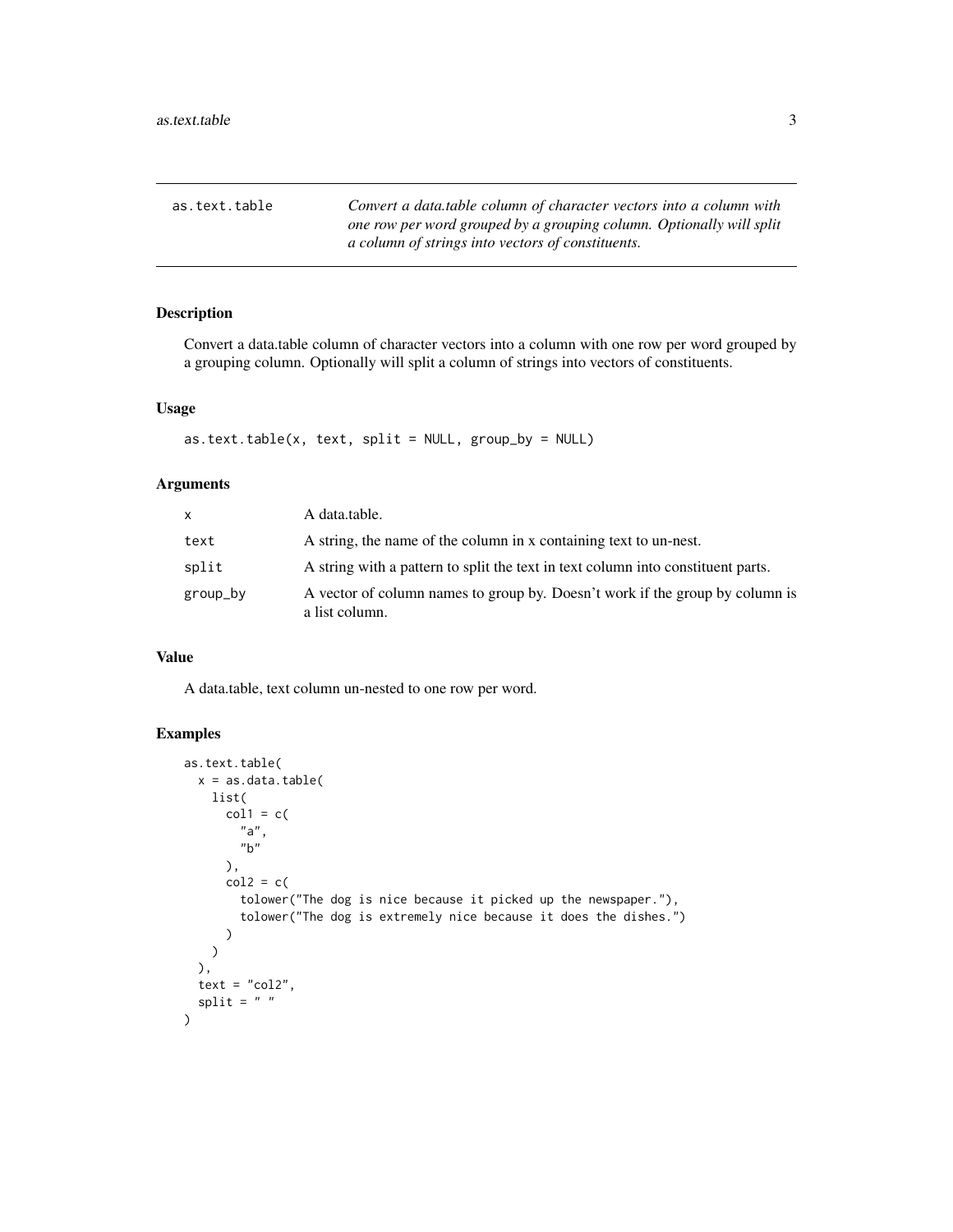<span id="page-2-0"></span>as.text.table *Convert a data.table column of character vectors into a column with one row per word grouped by a grouping column. Optionally will split a column of strings into vectors of constituents.*

# Description

Convert a data.table column of character vectors into a column with one row per word grouped by a grouping column. Optionally will split a column of strings into vectors of constituents.

# Usage

```
as.text.title(x, text, split = NULL, group_by = NULL)
```
#### Arguments

| X        | A data.table.                                                                                  |
|----------|------------------------------------------------------------------------------------------------|
| text     | A string, the name of the column in x containing text to un-nest.                              |
| split    | A string with a pattern to split the text in text column into constituent parts.               |
| group_by | A vector of column names to group by. Doesn't work if the group by column is<br>a list column. |

# Value

A data.table, text column un-nested to one row per word.

```
as.text.table(
 x = as.data.title(list(
      col1 = c("a",
        "b"
      ),
      col2 = c(tolower("The dog is nice because it picked up the newspaper."),
        tolower("The dog is extremely nice because it does the dishes.")
      )
   \lambda),
 text = "col2",split = " ")
```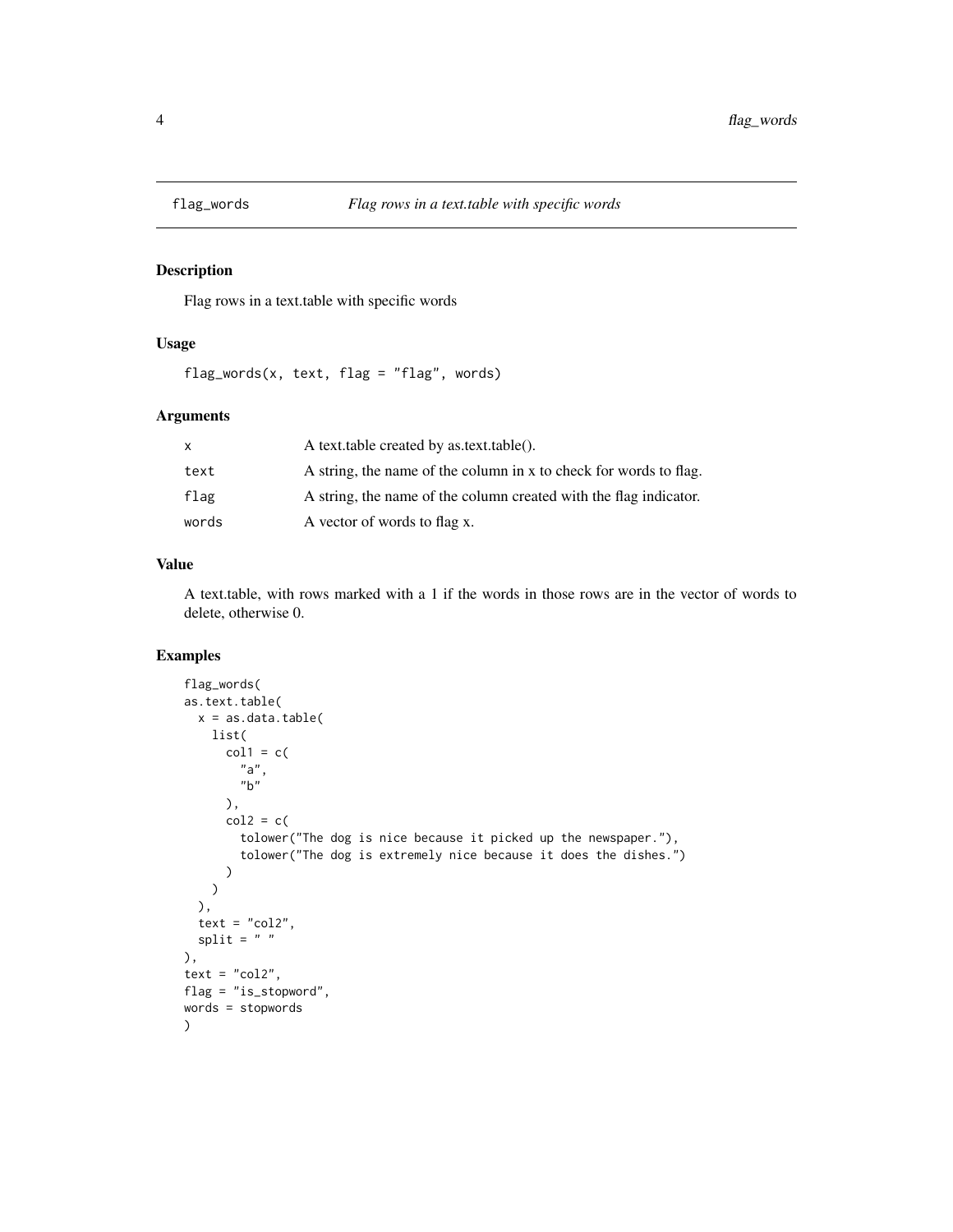<span id="page-3-0"></span>

#### Description

Flag rows in a text.table with specific words

## Usage

flag\_words(x, text, flag = "flag", words)

# Arguments

| $\mathsf{x}$ | A text.table created by as.text.table().                          |
|--------------|-------------------------------------------------------------------|
| text         | A string, the name of the column in x to check for words to flag. |
| flag         | A string, the name of the column created with the flag indicator. |
| words        | A vector of words to flag x.                                      |

# Value

A text.table, with rows marked with a 1 if the words in those rows are in the vector of words to delete, otherwise 0.

```
flag_words(
as.text.table(
  x = as.data.table(
   list(
      col1 = c("a",
        "b"
      ),
      col2 = c(tolower("The dog is nice because it picked up the newspaper."),
        tolower("The dog is extremely nice because it does the dishes.")
      )
   \, \,),
  text = "col2",split = " "),
text = "col2",flag = "is_stopword",
words = stopwords
)
```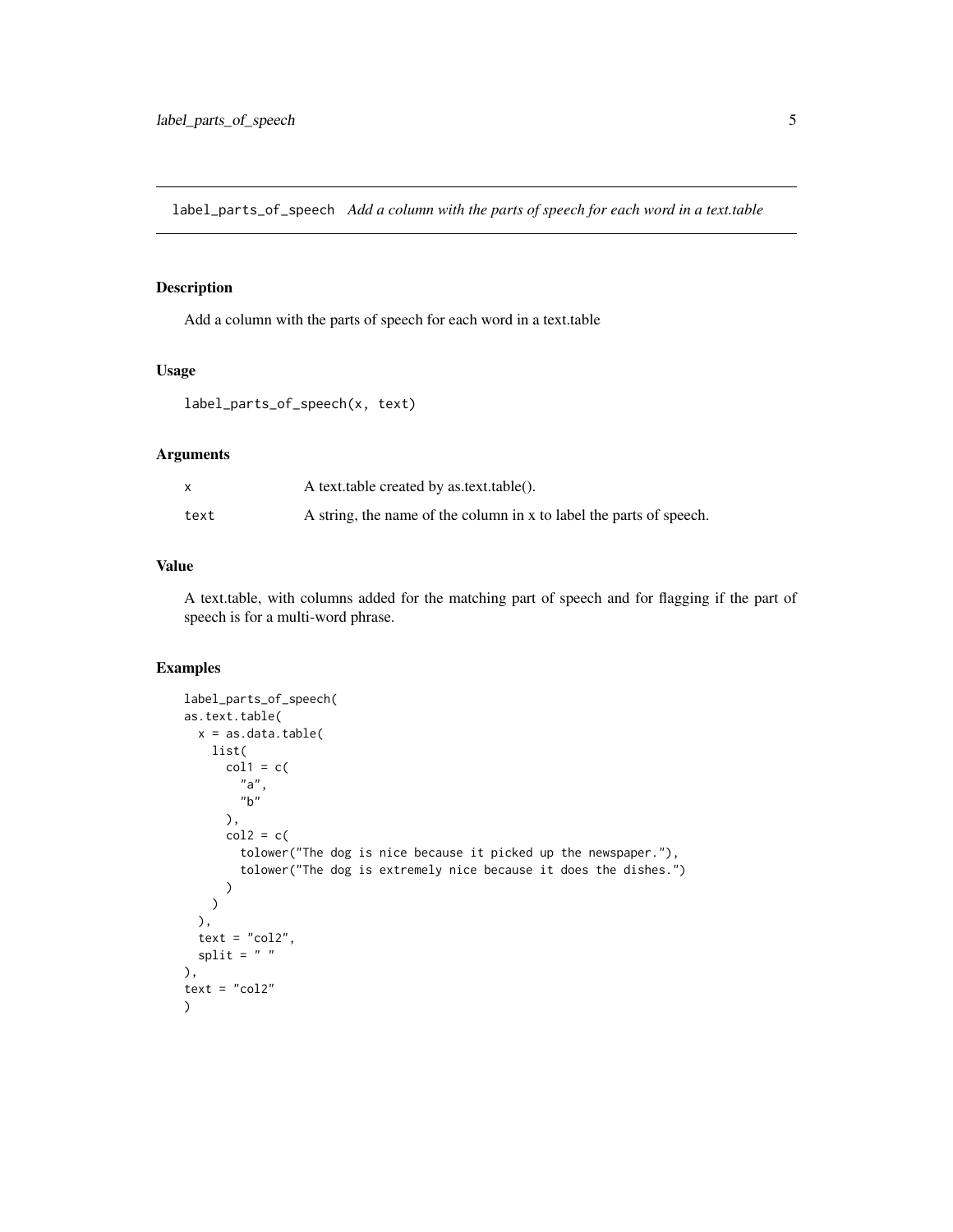<span id="page-4-0"></span>label\_parts\_of\_speech *Add a column with the parts of speech for each word in a text.table*

# Description

Add a column with the parts of speech for each word in a text.table

## Usage

```
label_parts_of_speech(x, text)
```
# Arguments

|      | A text.table created by as.text.table().                            |
|------|---------------------------------------------------------------------|
| text | A string, the name of the column in x to label the parts of speech. |

# Value

A text.table, with columns added for the matching part of speech and for flagging if the part of speech is for a multi-word phrase.

```
label_parts_of_speech(
as.text.table(
  x = as.data.title(list(
      col1 = c("a",
        "b"
      ),
      col2 = c(tolower("The dog is nice because it picked up the newspaper."),
        tolower("The dog is extremely nice because it does the dishes.")
      )
   )
  ),
  text = "col2",split = " " "),
text = "col2")
```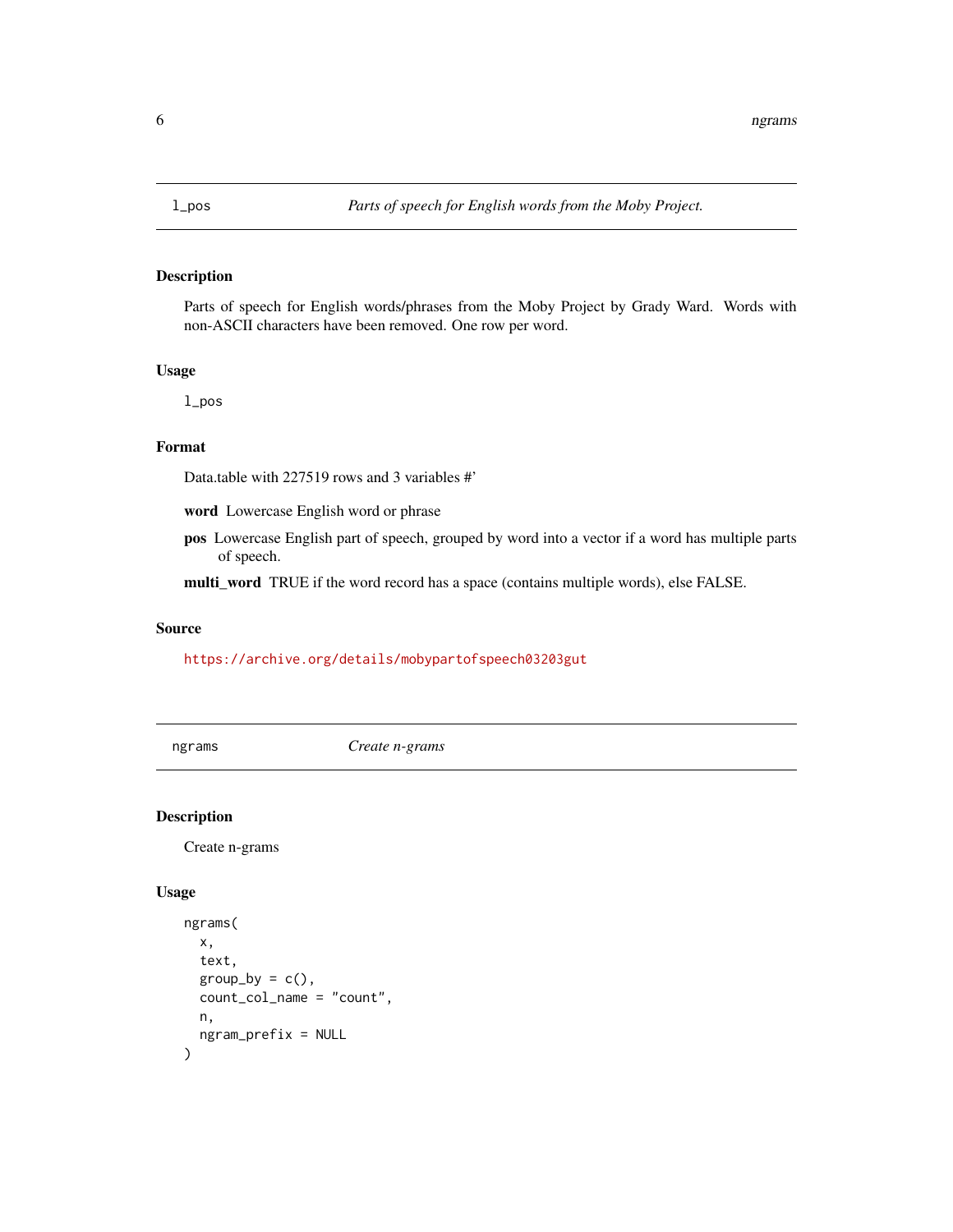<span id="page-5-0"></span>

## Description

Parts of speech for English words/phrases from the Moby Project by Grady Ward. Words with non-ASCII characters have been removed. One row per word.

## Usage

l\_pos

# Format

Data.table with 227519 rows and 3 variables #'

word Lowercase English word or phrase

pos Lowercase English part of speech, grouped by word into a vector if a word has multiple parts of speech.

multi\_word TRUE if the word record has a space (contains multiple words), else FALSE.

#### Source

<https://archive.org/details/mobypartofspeech03203gut>

ngrams *Create n-grams*

# Description

Create n-grams

## Usage

```
ngrams(
 x,
  text,
 group_by = c(),
 count_col_name = "count",
 n,
 ngram_prefix = NULL
)
```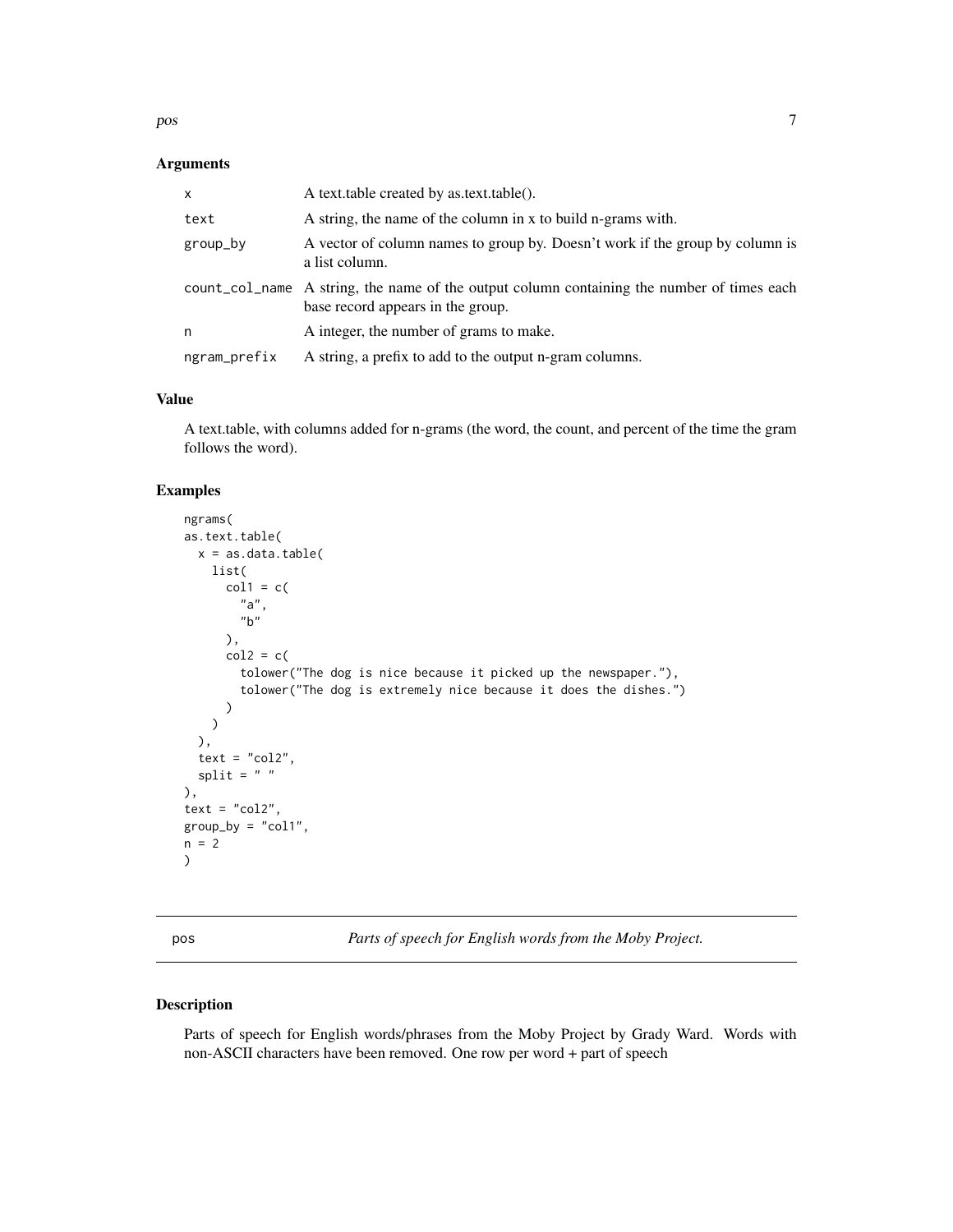<span id="page-6-0"></span>pos to the contract of the contract of the contract of the contract of the contract of the contract of the contract of the contract of the contract of the contract of the contract of the contract of the contract of the con

# Arguments

| x            | A text.table created by as.text.table().                                                                                        |
|--------------|---------------------------------------------------------------------------------------------------------------------------------|
| text         | A string, the name of the column in x to build n-grams with.                                                                    |
| group_by     | A vector of column names to group by. Doesn't work if the group by column is<br>a list column.                                  |
|              | count_col_name A string, the name of the output column containing the number of times each<br>base record appears in the group. |
| n            | A integer, the number of grams to make.                                                                                         |
| ngram_prefix | A string, a prefix to add to the output n-gram columns.                                                                         |

## Value

A text.table, with columns added for n-grams (the word, the count, and percent of the time the gram follows the word).

## Examples

```
ngrams(
as.text.table(
  x = as.data.title(list(
      col1 = c("a",
        "b"),
      col2 = c(tolower("The dog is nice because it picked up the newspaper."),
        tolower("The dog is extremely nice because it does the dishes.")
      )
   )
  ),
  text = "col2",split = " "),
text = "col2",group_by = "col1",
n = 2)
```
pos *Parts of speech for English words from the Moby Project.*

#### Description

Parts of speech for English words/phrases from the Moby Project by Grady Ward. Words with non-ASCII characters have been removed. One row per word + part of speech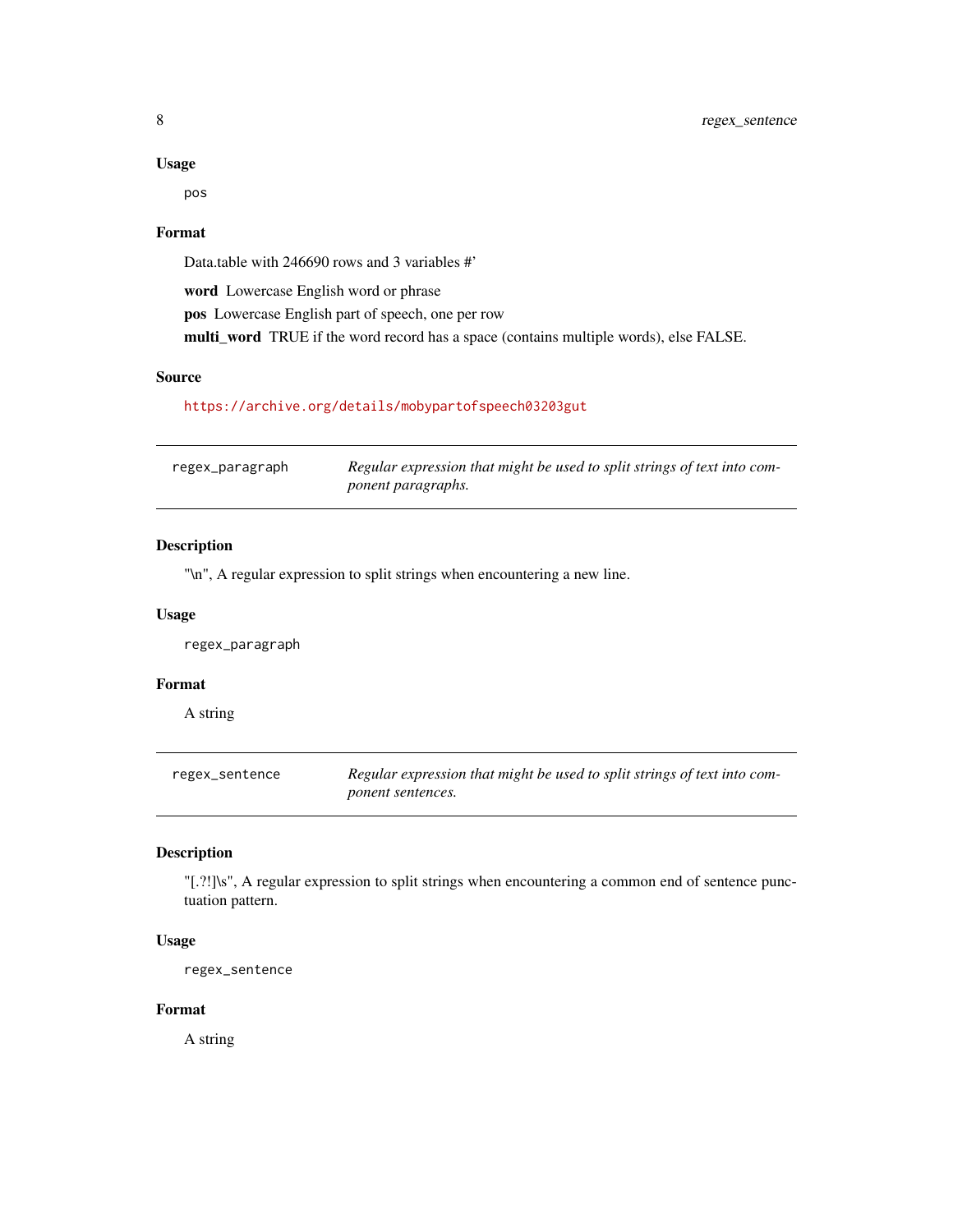#### Usage

pos

## Format

Data.table with 246690 rows and 3 variables #'

word Lowercase English word or phrase pos Lowercase English part of speech, one per row multi\_word TRUE if the word record has a space (contains multiple words), else FALSE.

# Source

# <https://archive.org/details/mobypartofspeech03203gut>

| regex_paragraph | Regular expression that might be used to split strings of text into com- |
|-----------------|--------------------------------------------------------------------------|
|                 | ponent paragraphs.                                                       |

#### Description

"\n", A regular expression to split strings when encountering a new line.

# Usage

regex\_paragraph

#### Format

A string

regex\_sentence *Regular expression that might be used to split strings of text into component sentences.*

#### Description

"[.?!]\s", A regular expression to split strings when encountering a common end of sentence punctuation pattern.

# Usage

regex\_sentence

## Format

A string

<span id="page-7-0"></span>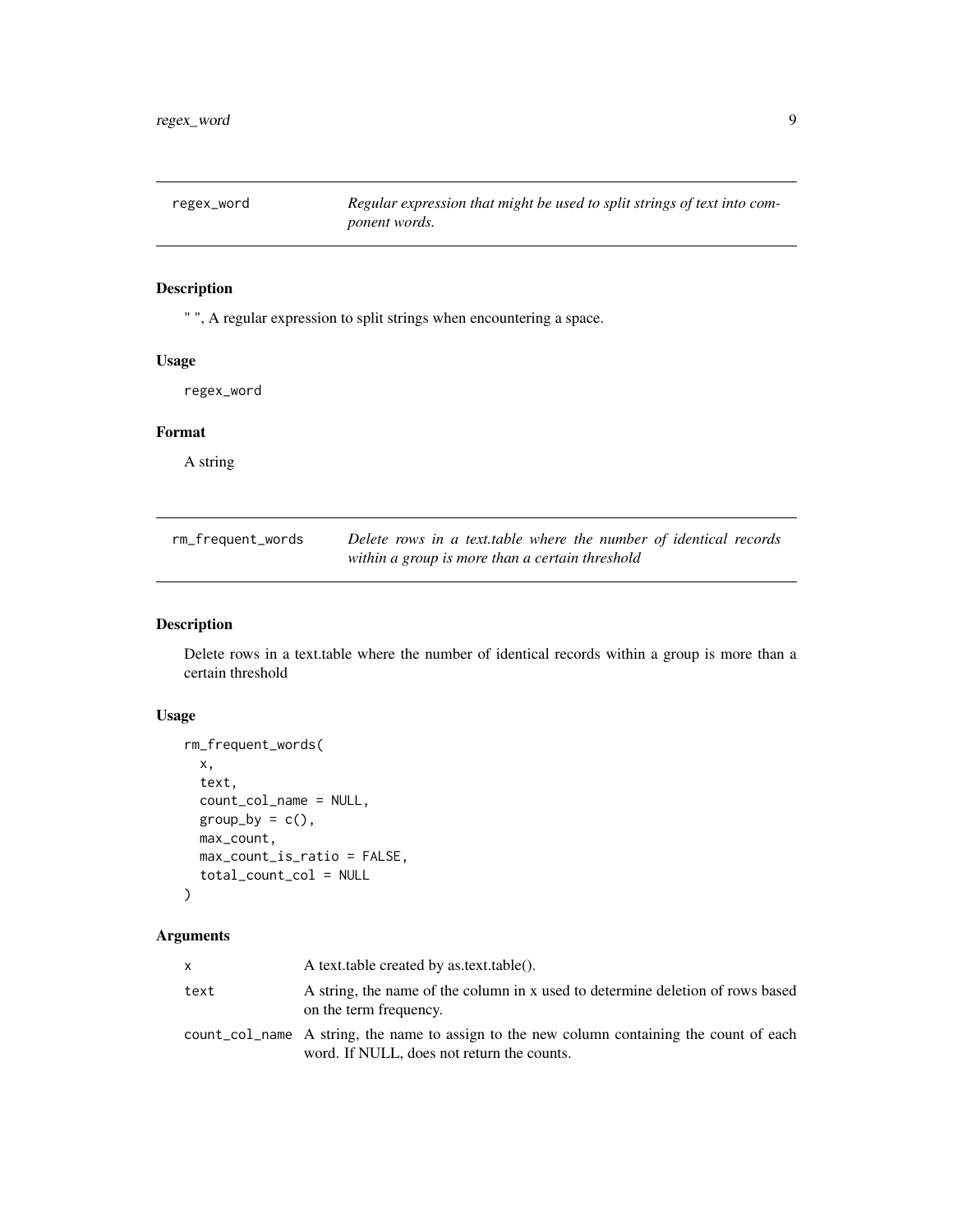<span id="page-8-0"></span>regex\_word *Regular expression that might be used to split strings of text into component words.*

# Description

" ", A regular expression to split strings when encountering a space.

## Usage

regex\_word

# Format

A string

| rm_frequent_words | Delete rows in a text.table where the number of identical records |
|-------------------|-------------------------------------------------------------------|
|                   | within a group is more than a certain threshold                   |

# Description

Delete rows in a text.table where the number of identical records within a group is more than a certain threshold

## Usage

```
rm_frequent_words(
  x,
  text,
  count_col_name = NULL,
 group_by = c(),
 max_count,
 max_count_is_ratio = FALSE,
  total_count_col = NULL
\mathcal{L}
```
# Arguments

| x    | A text.table created by as.text.table().                                                                                                 |
|------|------------------------------------------------------------------------------------------------------------------------------------------|
| text | A string, the name of the column in x used to determine deletion of rows based<br>on the term frequency.                                 |
|      | count col name A string, the name to assign to the new column containing the count of each<br>word. If NULL, does not return the counts. |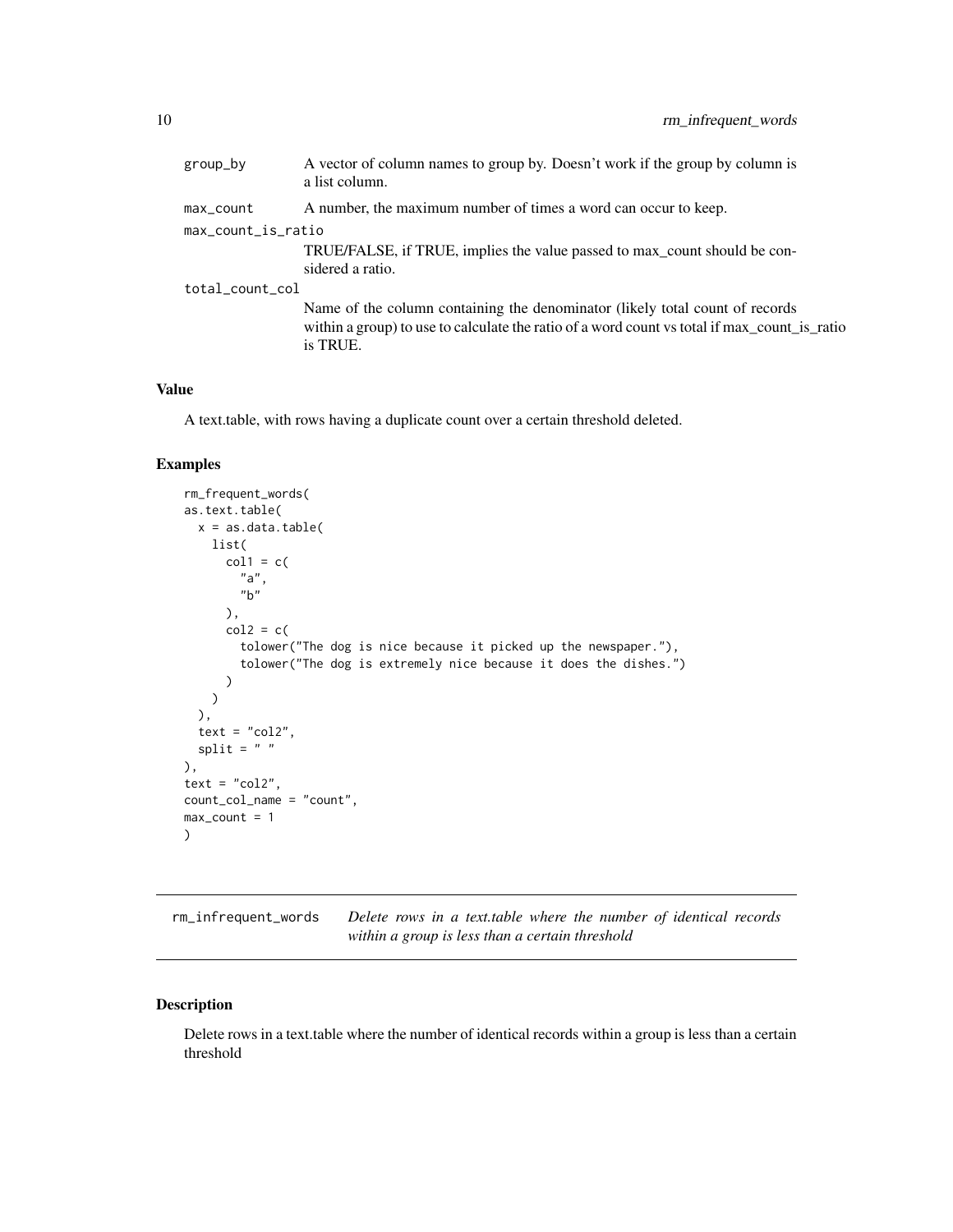<span id="page-9-0"></span>

| group_by           | A vector of column names to group by. Doesn't work if the group by column is<br>a list column.                                                                                           |
|--------------------|------------------------------------------------------------------------------------------------------------------------------------------------------------------------------------------|
| max_count          | A number, the maximum number of times a word can occur to keep.                                                                                                                          |
| max_count_is_ratio |                                                                                                                                                                                          |
|                    | TRUE/FALSE, if TRUE, implies the value passed to max_count should be con-<br>sidered a ratio.                                                                                            |
| total_count_col    |                                                                                                                                                                                          |
|                    | Name of the column containing the denominator (likely total count of records<br>within a group) to use to calculate the ratio of a word count vs total if max_count_is_ratio<br>is TRUE. |

#### Value

A text.table, with rows having a duplicate count over a certain threshold deleted.

## Examples

```
rm_frequent_words(
as.text.table(
 x = as.data_table(list(
      col1 = c("a",
        "b"),
      col2 = c(tolower("The dog is nice because it picked up the newspaper."),
        tolower("The dog is extremely nice because it does the dishes.")
      )
   )
  ),
  text = "col2",split = " "),
text = "col2",count_col_name = "count",
max_{\text{count}} = 1)
```
rm\_infrequent\_words *Delete rows in a text.table where the number of identical records within a group is less than a certain threshold*

## Description

Delete rows in a text.table where the number of identical records within a group is less than a certain threshold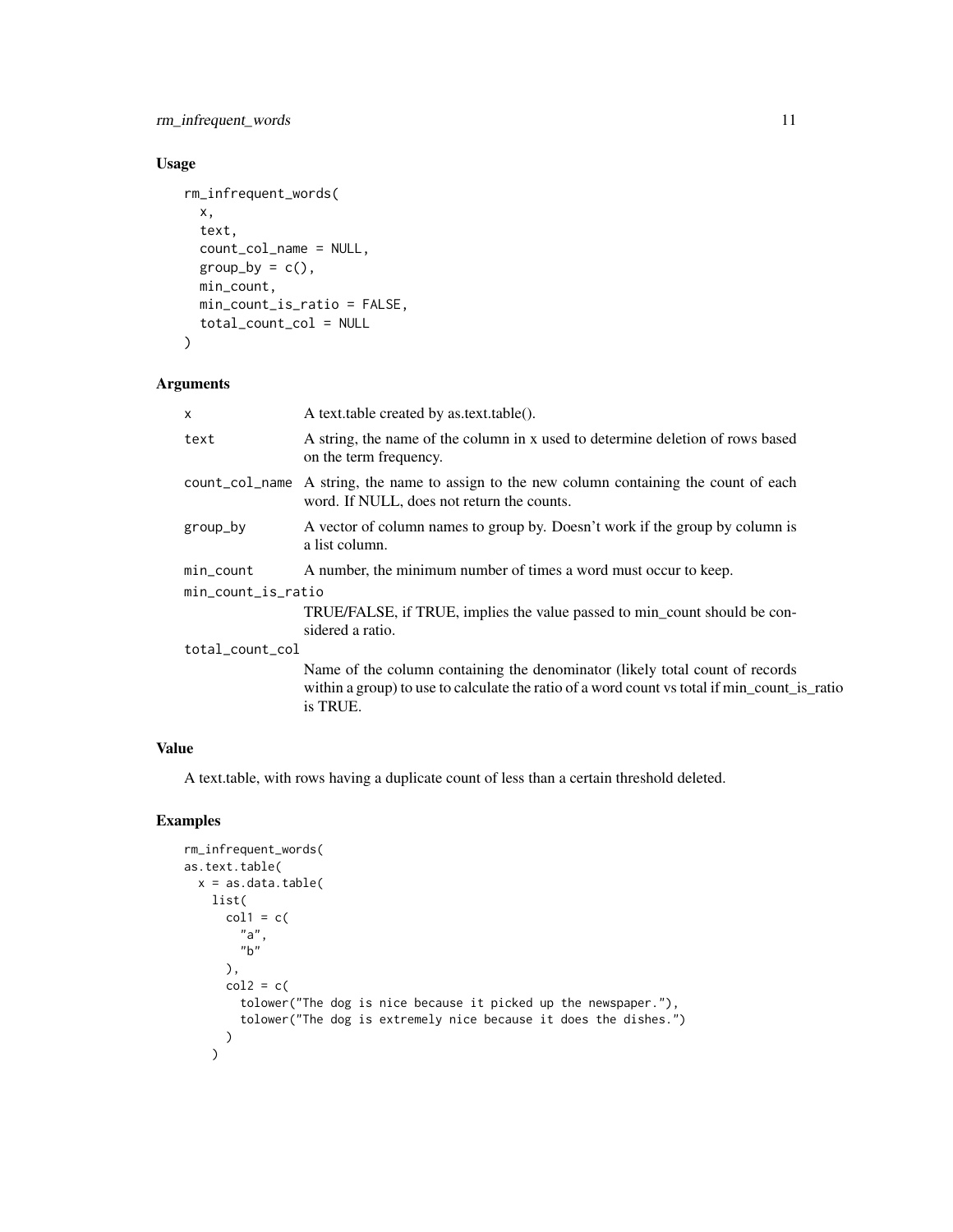# rm\_infrequent\_words 11

# Usage

```
rm_infrequent_words(
  x,
  text,
 count_col_name = NULL,
 group_by = c(),
 min_count,
 min_count_is_ratio = FALSE,
  total_count_col = NULL
\mathcal{L}
```
# Arguments

| X                  | A text.table created by as.text.table().                                                                                                                                                  |
|--------------------|-------------------------------------------------------------------------------------------------------------------------------------------------------------------------------------------|
| text               | A string, the name of the column in x used to determine deletion of rows based<br>on the term frequency.                                                                                  |
|                    | count_col_name A string, the name to assign to the new column containing the count of each<br>word. If NULL, does not return the counts.                                                  |
| group_by           | A vector of column names to group by. Doesn't work if the group by column is<br>a list column.                                                                                            |
| min_count          | A number, the minimum number of times a word must occur to keep.                                                                                                                          |
| min_count_is_ratio |                                                                                                                                                                                           |
|                    | TRUE/FALSE, if TRUE, implies the value passed to min_count should be con-<br>sidered a ratio.                                                                                             |
| total_count_col    |                                                                                                                                                                                           |
|                    | Name of the column containing the denominator (likely total count of records)<br>within a group) to use to calculate the ratio of a word count vs total if min_count_is_ratio<br>is TRUE. |

## Value

A text.table, with rows having a duplicate count of less than a certain threshold deleted.

```
rm_infrequent_words(
as.text.table(
  x = as.data_table(list(
      col1 = c("a",
        "b"
      ),
      col2 = c(tolower("The dog is nice because it picked up the newspaper."),
        tolower("The dog is extremely nice because it does the dishes.")
     )
    \overline{)}
```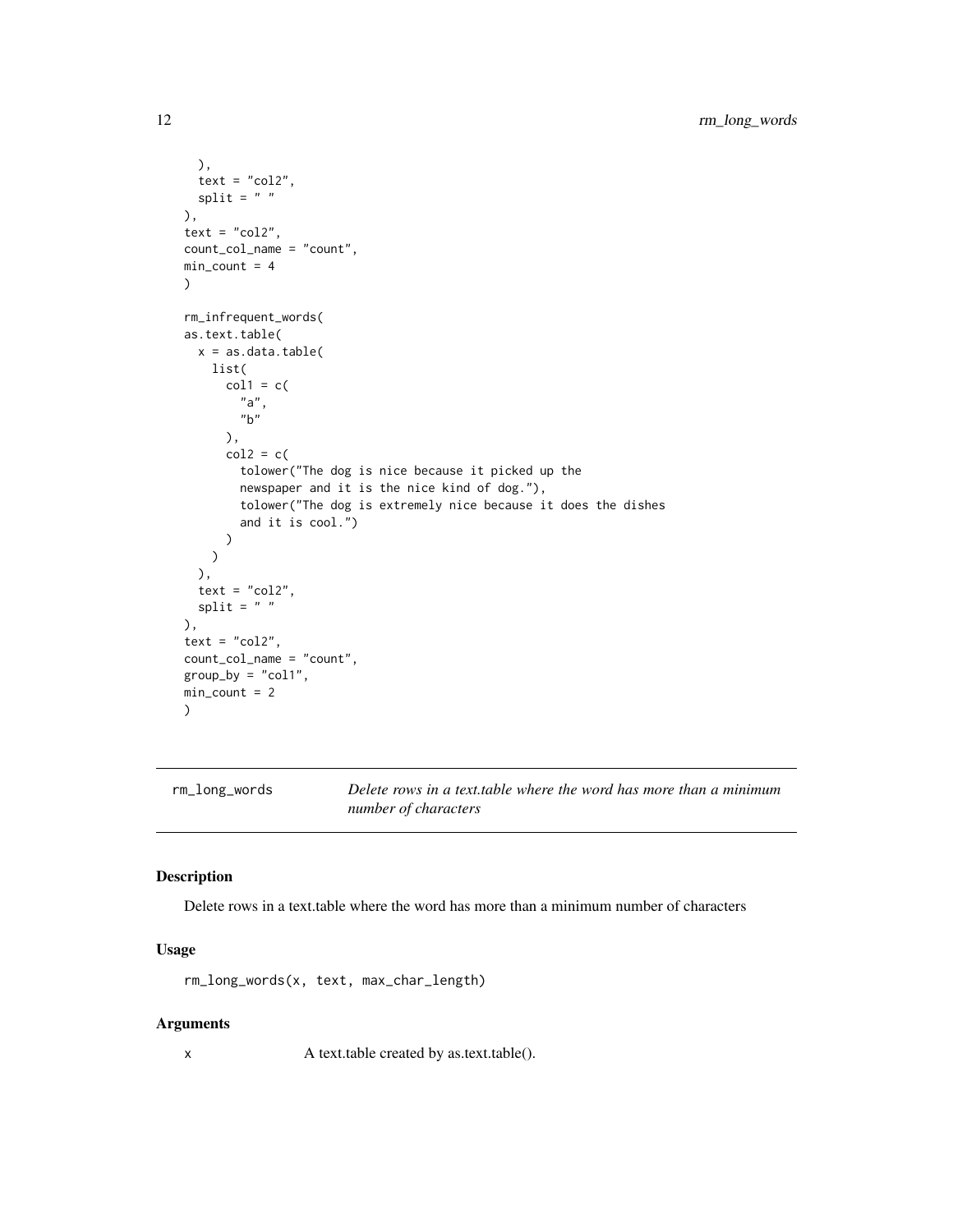```
),
  text = "col2",split = " "),
text = "col2",count_col_name = "count",
min\_count = 4\mathcal{L}rm_infrequent_words(
as.text.table(
  x = as.data_table(list(
      col1 = c("a",
        "b"
      ),
      col2 = c(tolower("The dog is nice because it picked up the
        newspaper and it is the nice kind of dog."),
        tolower("The dog is extremely nice because it does the dishes
        and it is cool.")
      )
    )
  ),
  text = "col2",split = " "),
text = "col2",count_col_name = "count",
group_by = "col1",min\_count = 2\mathcal{L}
```
rm\_long\_words *Delete rows in a text.table where the word has more than a minimum number of characters*

## Description

Delete rows in a text.table where the word has more than a minimum number of characters

# Usage

rm\_long\_words(x, text, max\_char\_length)

#### Arguments

x A text.table created by as.text.table().

<span id="page-11-0"></span>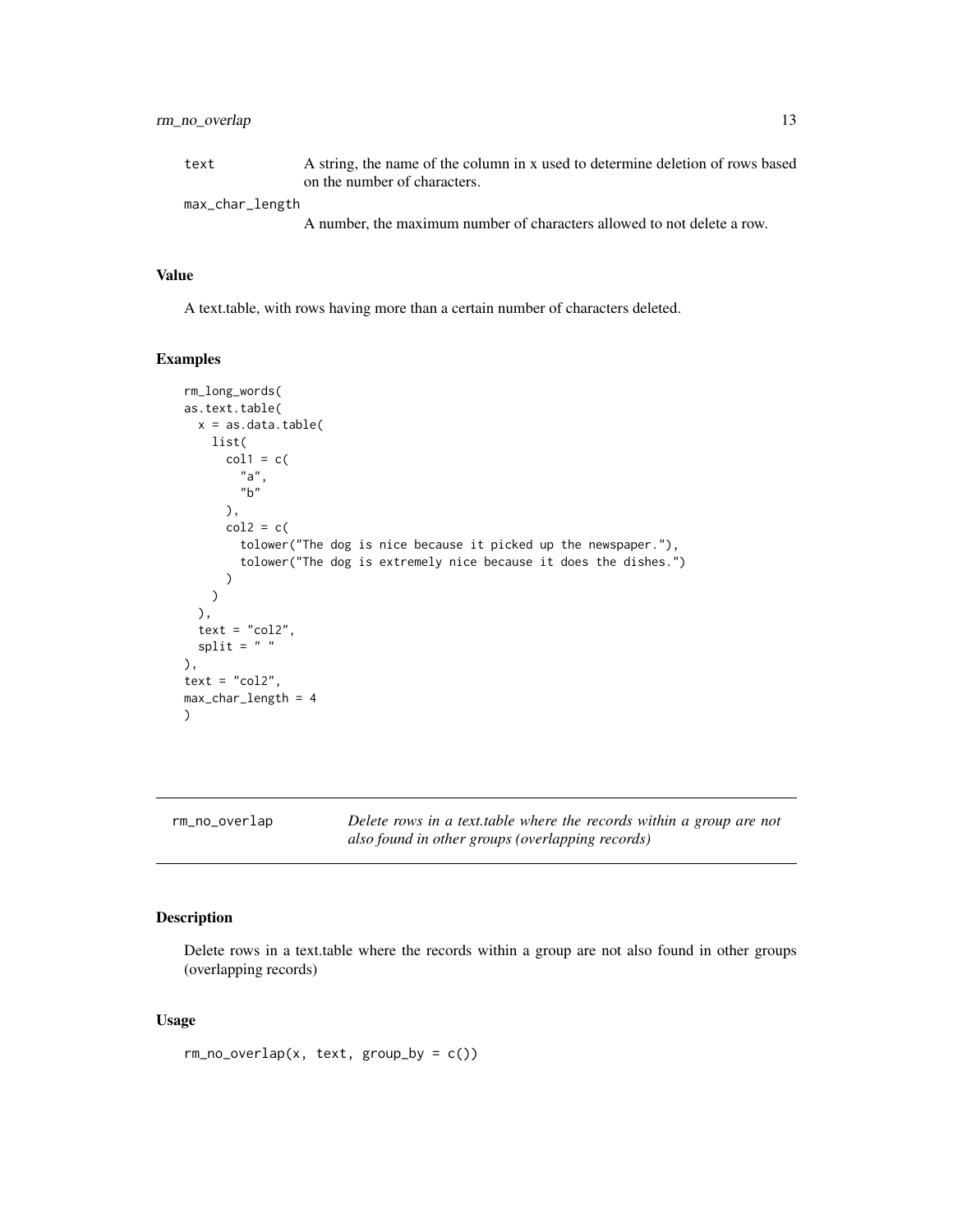# <span id="page-12-0"></span>rm\_no\_overlap 13

text A string, the name of the column in x used to determine deletion of rows based on the number of characters. max\_char\_length

A number, the maximum number of characters allowed to not delete a row.

#### Value

A text.table, with rows having more than a certain number of characters deleted.

## Examples

```
rm_long_words(
as.text.table(
 x = as.data.table(
   list(
     col1 = c("a",
        "b"
     ),
     col2 = c(tolower("The dog is nice because it picked up the newspaper."),
        tolower("The dog is extremely nice because it does the dishes.")
     )
   )
 ),
 text = "col2",split = " "),
text = "col2",max_char_length = 4
)
```
rm\_no\_overlap *Delete rows in a text.table where the records within a group are not also found in other groups (overlapping records)*

## Description

Delete rows in a text.table where the records within a group are not also found in other groups (overlapping records)

#### Usage

 $rm\_no\_overlap(x, text, group_by = c())$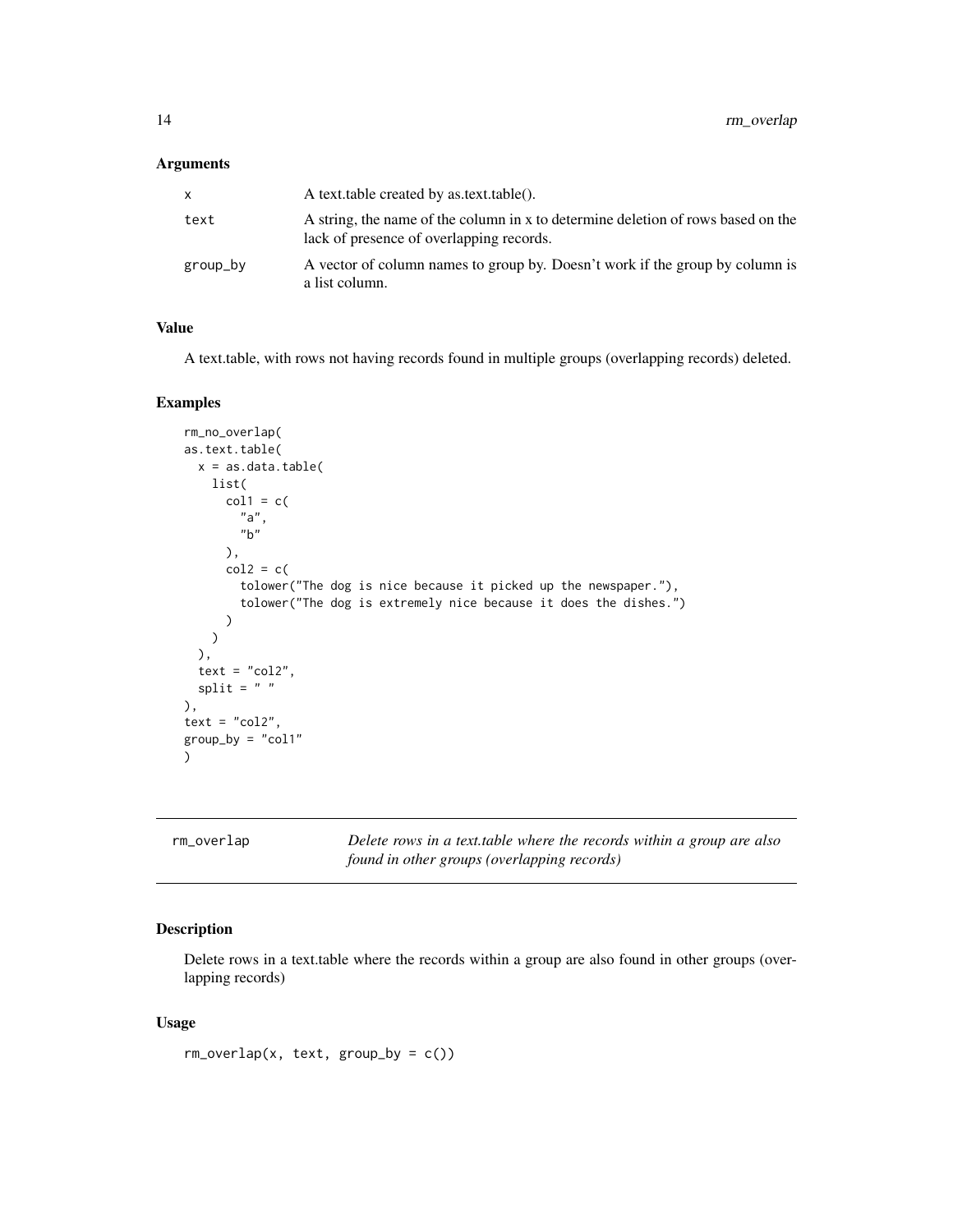<span id="page-13-0"></span>

| x        | A text.table created by as.text.table().                                                                                     |
|----------|------------------------------------------------------------------------------------------------------------------------------|
| text     | A string, the name of the column in x to determine deletion of rows based on the<br>lack of presence of overlapping records. |
| group_by | A vector of column names to group by. Doesn't work if the group by column is<br>a list column.                               |

## Value

A text.table, with rows not having records found in multiple groups (overlapping records) deleted.

#### Examples

```
rm_no_overlap(
as.text.table(
  x = as.data_table(list(
      col1 = c("a",
        "b"
      ),
      col2 = c(tolower("The dog is nice because it picked up the newspaper."),
        tolower("The dog is extremely nice because it does the dishes.")
      )
   )
  ),
  text = "col2",split = " "),
text = "col2",group\_by = "col1")
```

| rm_overlap |  |
|------------|--|
|            |  |

Delete rows in a text.table where the records within a group are also *found in other groups (overlapping records)*

# Description

Delete rows in a text.table where the records within a group are also found in other groups (overlapping records)

#### Usage

```
rm\_overlap(x, text, group_by = c())
```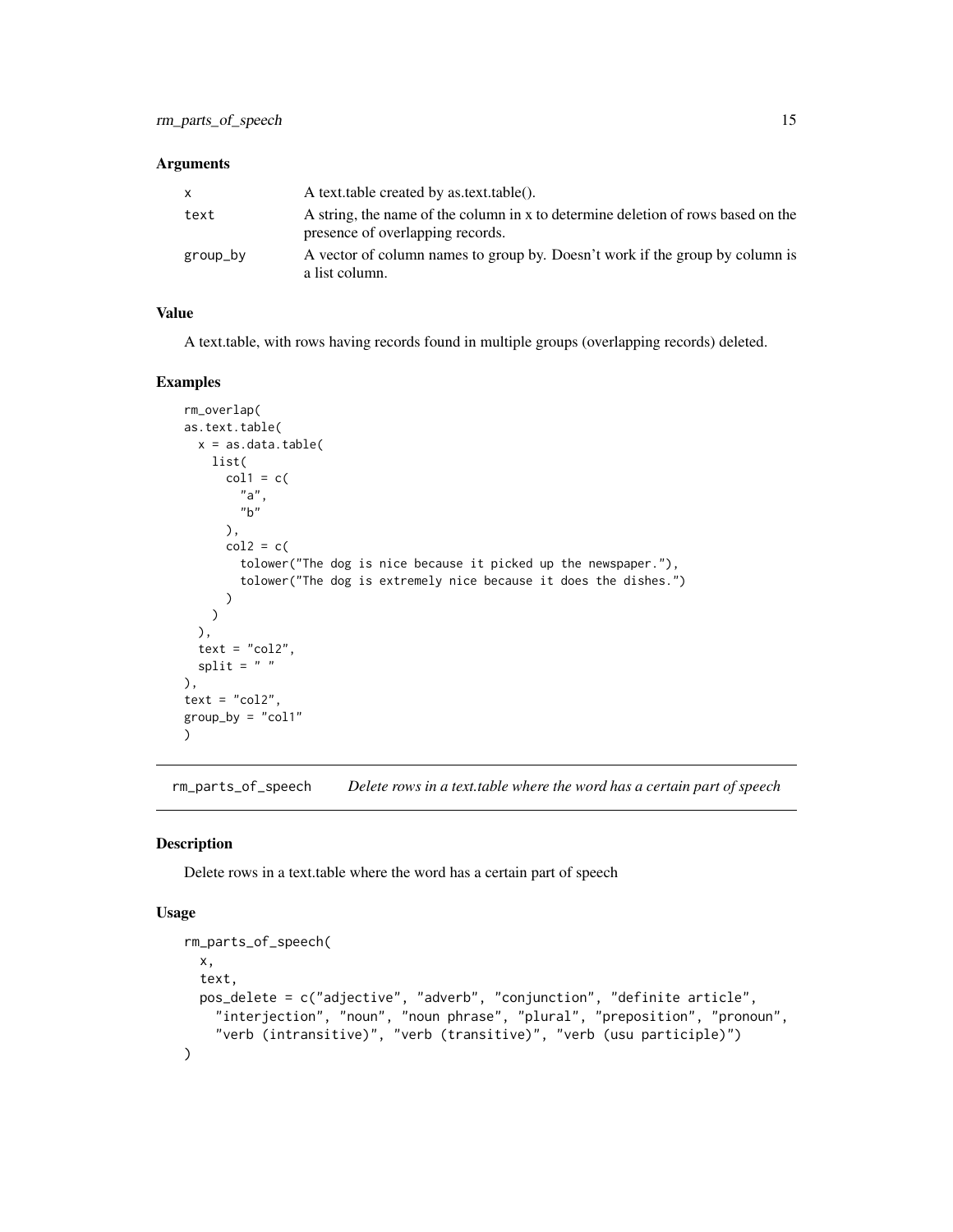<span id="page-14-0"></span>

| X        | A text.table created by as.text.table().                                                                             |
|----------|----------------------------------------------------------------------------------------------------------------------|
| text     | A string, the name of the column in x to determine deletion of rows based on the<br>presence of overlapping records. |
| group_by | A vector of column names to group by. Doesn't work if the group by column is<br>a list column.                       |

# Value

A text.table, with rows having records found in multiple groups (overlapping records) deleted.

#### Examples

```
rm_overlap(
as.text.table(
  x = as.data.table(
   list(
      col1 = c("a",
        "b"),
      col2 = c(tolower("The dog is nice because it picked up the newspaper."),
        tolower("The dog is extremely nice because it does the dishes.")
      )
   )
  ),
  text = "col2",split = " "),
text = "col2",group_by = "col1"\mathcal{L}
```
rm\_parts\_of\_speech *Delete rows in a text.table where the word has a certain part of speech*

#### Description

Delete rows in a text.table where the word has a certain part of speech

#### Usage

```
rm_parts_of_speech(
 x,
  text,
 pos_delete = c("adjective", "adverb", "conjunction", "definite article",
    "interjection", "noun", "noun phrase", "plural", "preposition", "pronoun",
    "verb (intransitive)", "verb (transitive)", "verb (usu participle)")
\mathcal{L}
```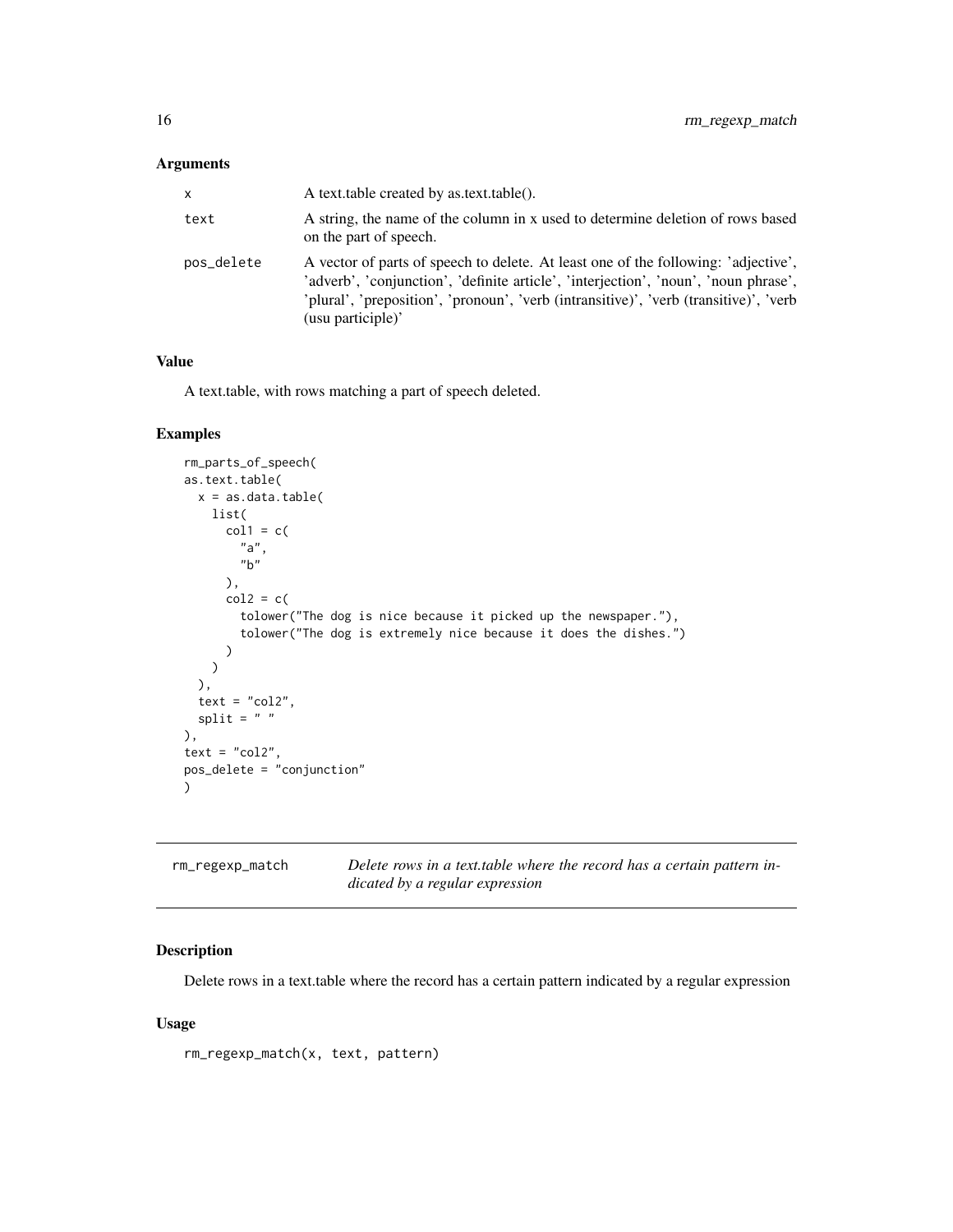<span id="page-15-0"></span>

| x          | A text.table created by as.text.table().                                                                                                                                                                                                                                                |
|------------|-----------------------------------------------------------------------------------------------------------------------------------------------------------------------------------------------------------------------------------------------------------------------------------------|
| text       | A string, the name of the column in x used to determine deletion of rows based<br>on the part of speech.                                                                                                                                                                                |
| pos_delete | A vector of parts of speech to delete. At least one of the following: 'adjective',<br>'adverb', 'conjunction', 'definite article', 'interjection', 'noun', 'noun phrase',<br>'plural', 'preposition', 'pronoun', 'verb (intransitive)', 'verb (transitive)', 'verb<br>(usu participle)' |

## Value

A text.table, with rows matching a part of speech deleted.

# Examples

```
rm_parts_of_speech(
as.text.table(
  x = as.data.table(
   list(
      col1 = c("a",
       "b"),
      col2 = c(tolower("The dog is nice because it picked up the newspaper."),
       tolower("The dog is extremely nice because it does the dishes.")
      )
   \lambda),
  text = "col2",split = " "),
text = "col2",pos_delete = "conjunction"
)
```

| rm_regexp_match | Delete rows in a text table where the record has a certain pattern in- |
|-----------------|------------------------------------------------------------------------|
|                 | dicated by a regular expression                                        |

# Description

Delete rows in a text.table where the record has a certain pattern indicated by a regular expression

# Usage

rm\_regexp\_match(x, text, pattern)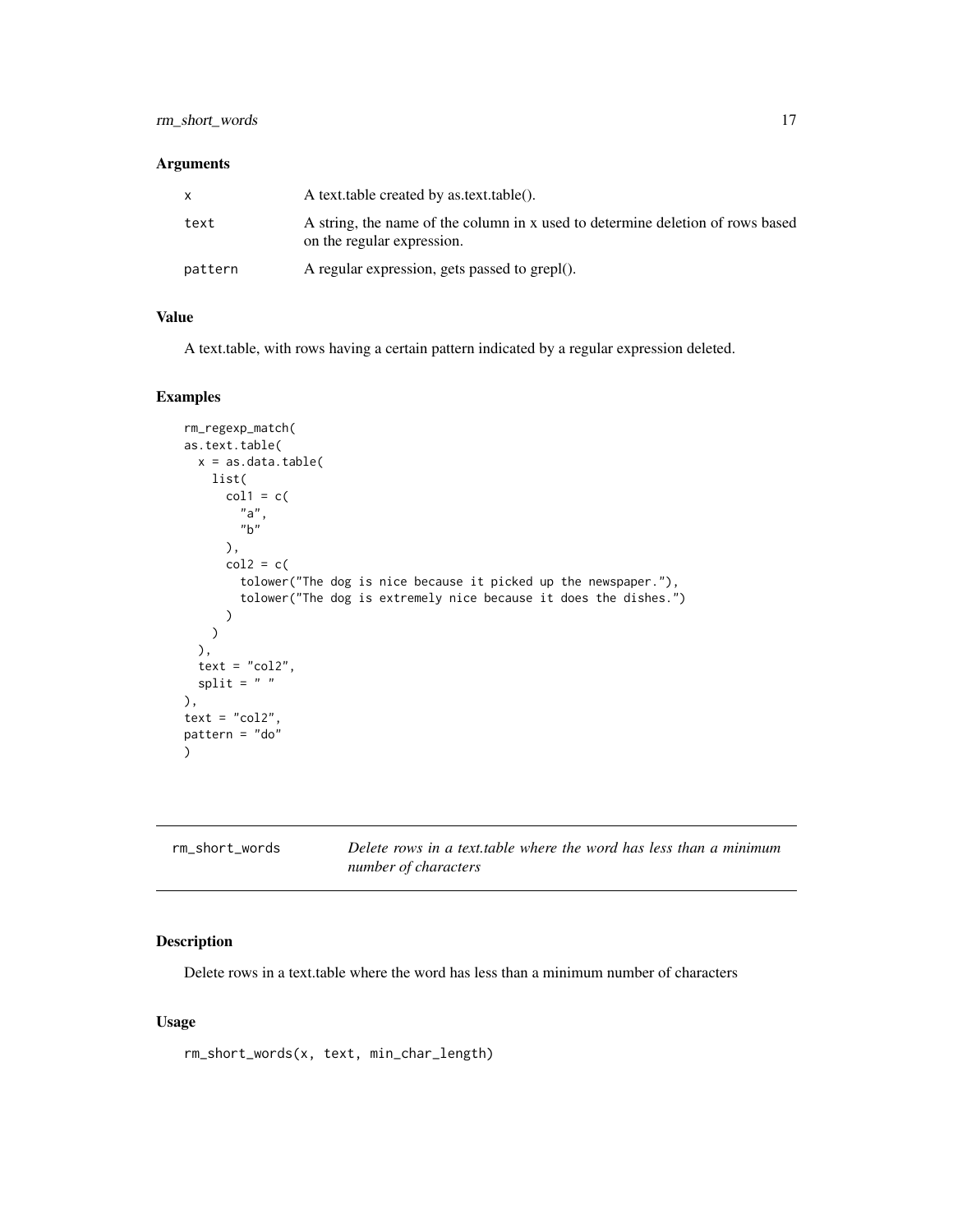# <span id="page-16-0"></span>rm\_short\_words 17

## Arguments

|         | A text table created by as text table().                                                                     |
|---------|--------------------------------------------------------------------------------------------------------------|
| text    | A string, the name of the column in x used to determine deletion of rows based<br>on the regular expression. |
| pattern | A regular expression, gets passed to grepl().                                                                |

## Value

A text.table, with rows having a certain pattern indicated by a regular expression deleted.

## Examples

```
rm_regexp_match(
as.text.table(
 x = as.data.table(
   list(
      col1 = c("a",
       "b"),
      col2 = c(tolower("The dog is nice because it picked up the newspaper."),
        tolower("The dog is extremely nice because it does the dishes.")
      )
   )
  ),
  text = "col2",split = " "),
text = "col2",pattern = "do"
)
```

| rm short words | Delete rows in a text table where the word has less than a minimum |
|----------------|--------------------------------------------------------------------|
|                | number of characters                                               |

# Description

Delete rows in a text.table where the word has less than a minimum number of characters

## Usage

rm\_short\_words(x, text, min\_char\_length)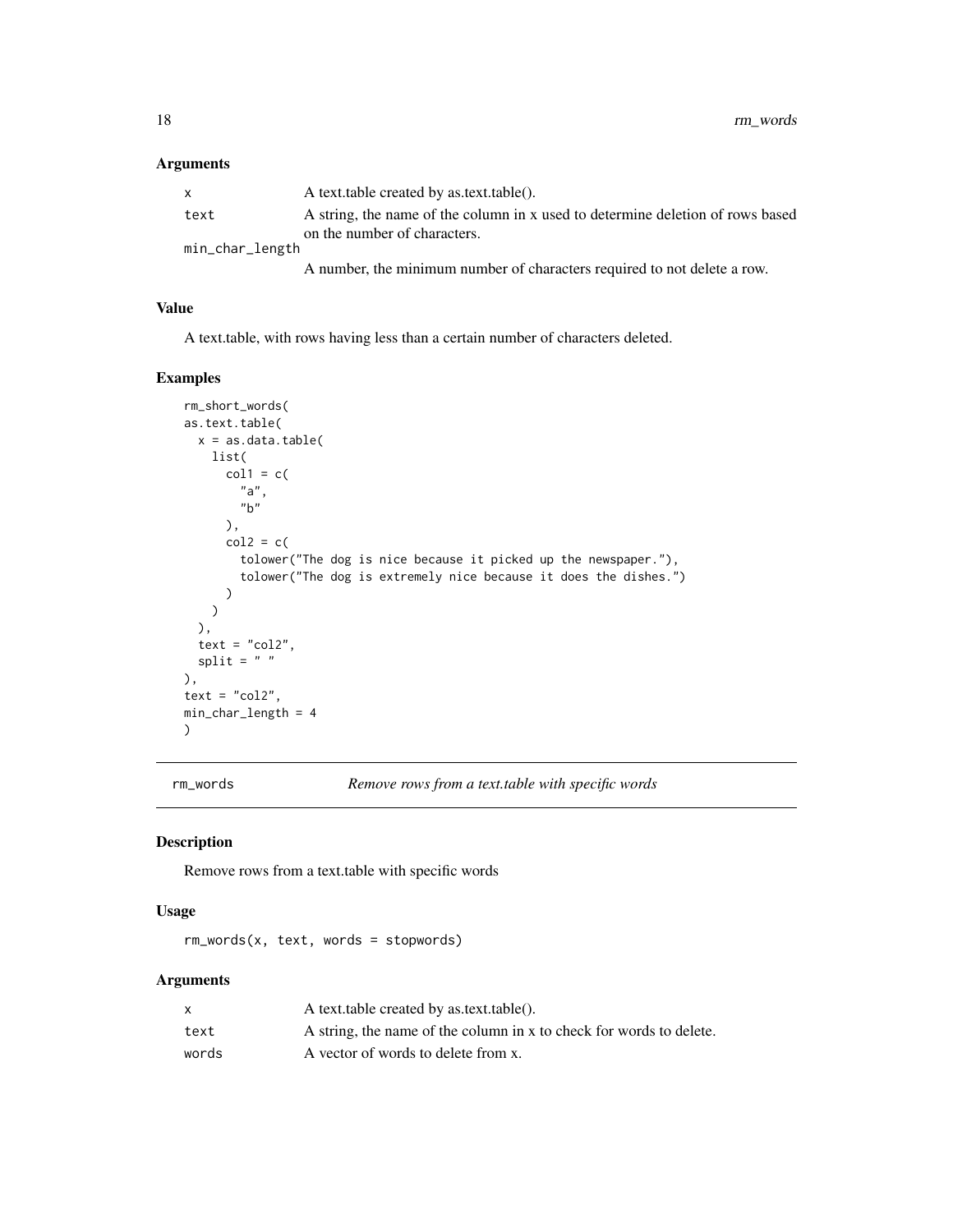<span id="page-17-0"></span>

| X               | A text.table created by as.text.table().                                       |
|-----------------|--------------------------------------------------------------------------------|
| text            | A string, the name of the column in x used to determine deletion of rows based |
|                 | on the number of characters.                                                   |
| min_char_length |                                                                                |

A number, the minimum number of characters required to not delete a row.

## Value

A text.table, with rows having less than a certain number of characters deleted.

# Examples

```
rm_short_words(
as.text.table(
  x = as.data_table(list(
      col1 = c("a",
        "b"
      ),
      col2 = c(tolower("The dog is nice because it picked up the newspaper."),
        tolower("The dog is extremely nice because it does the dishes.")
      )
   )
  ),
  text = "col2",
  split = " "),
text = "col2",min_char_length = 4
)
```
rm\_words *Remove rows from a text.table with specific words*

#### Description

Remove rows from a text.table with specific words

#### Usage

rm\_words(x, text, words = stopwords)

## Arguments

|       | A text.table created by as.text.table().                            |
|-------|---------------------------------------------------------------------|
| text  | A string, the name of the column in x to check for words to delete. |
| words | A vector of words to delete from x.                                 |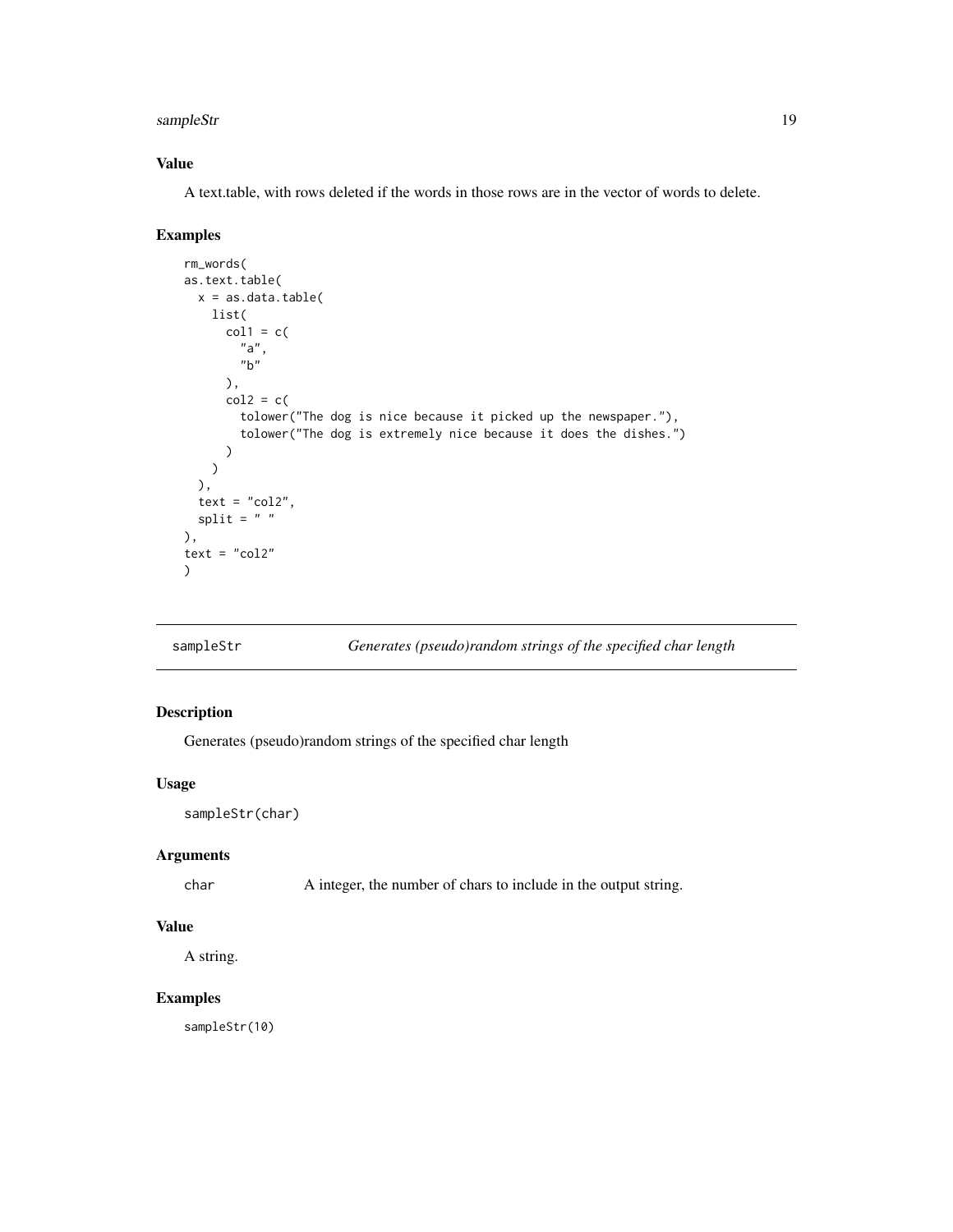#### <span id="page-18-0"></span>sampleStr and the state of the state of the state of the state of the state of the state of the state of the state of the state of the state of the state of the state of the state of the state of the state of the state of

# Value

A text.table, with rows deleted if the words in those rows are in the vector of words to delete.

# Examples

```
rm_words(
as.text.table(
  x = as.data.table(
   list(
      col1 = c("a",
        "b"
      ),
      col2 = c(tolower("The dog is nice because it picked up the newspaper."),
        tolower("The dog is extremely nice because it does the dishes.")
      )
   )
  ),
  text = "col2",split = " "),
text = "col2")
```
sampleStr *Generates (pseudo)random strings of the specified char length*

# Description

Generates (pseudo)random strings of the specified char length

#### Usage

```
sampleStr(char)
```
# Arguments

char A integer, the number of chars to include in the output string.

# Value

A string.

#### Examples

sampleStr(10)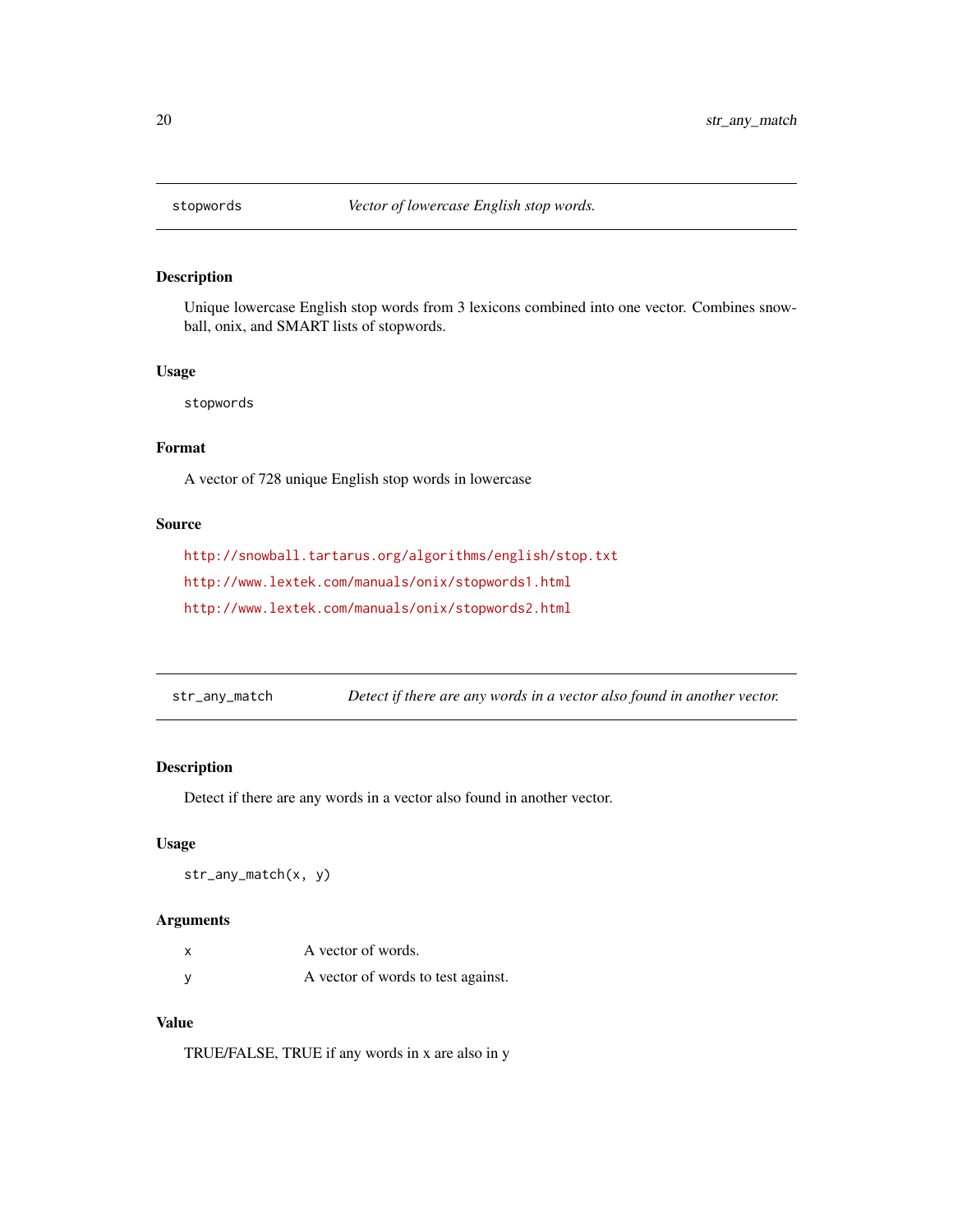<span id="page-19-0"></span>

## Description

Unique lowercase English stop words from 3 lexicons combined into one vector. Combines snowball, onix, and SMART lists of stopwords.

#### Usage

stopwords

# Format

A vector of 728 unique English stop words in lowercase

#### Source

```
http://snowball.tartarus.org/algorithms/english/stop.txt
http://www.lextek.com/manuals/onix/stopwords1.html
http://www.lextek.com/manuals/onix/stopwords2.html
```
str\_any\_match *Detect if there are any words in a vector also found in another vector.*

# Description

Detect if there are any words in a vector also found in another vector.

#### Usage

str\_any\_match(x, y)

#### Arguments

| A vector of words.                 |
|------------------------------------|
| A vector of words to test against. |

## Value

TRUE/FALSE, TRUE if any words in x are also in y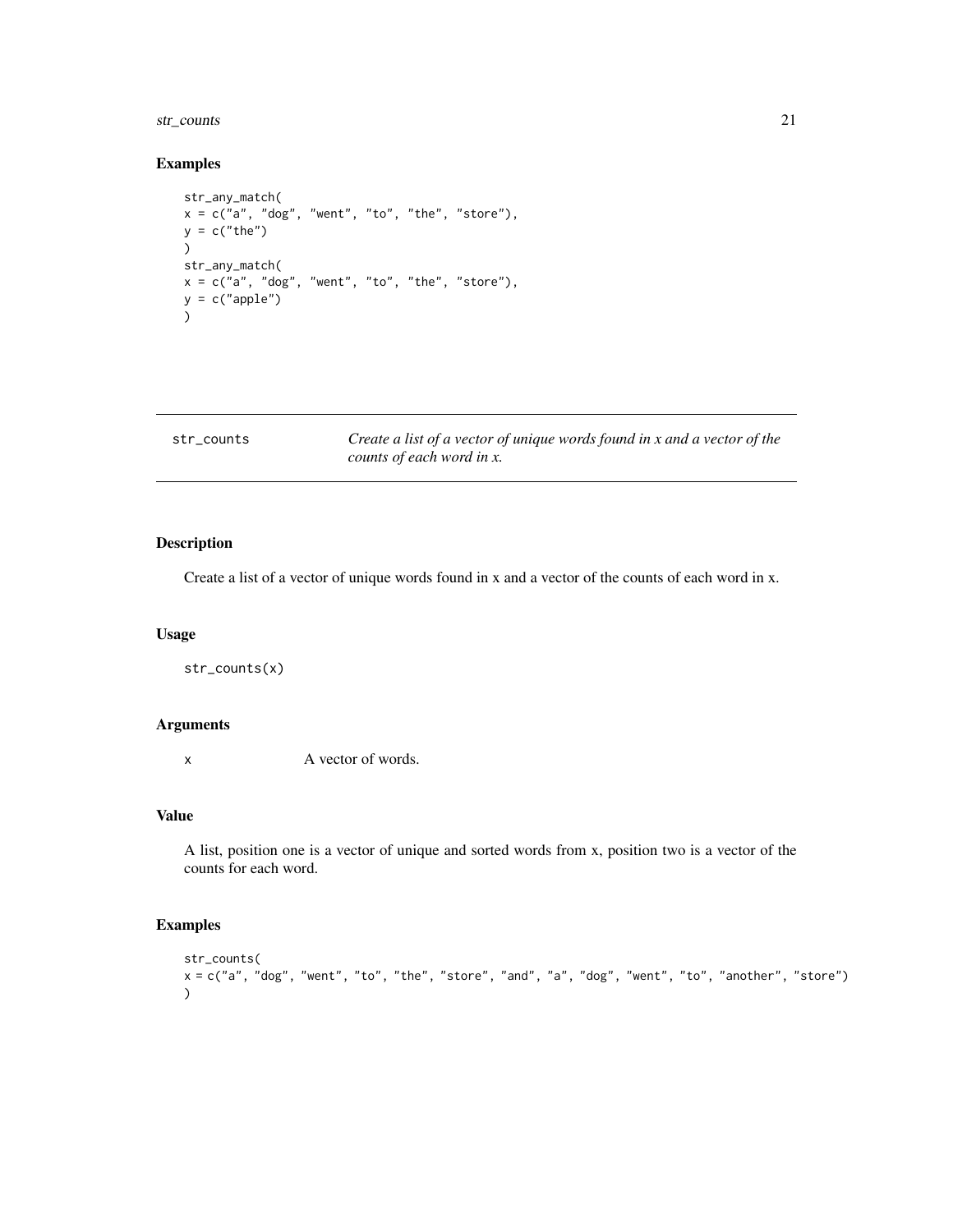# <span id="page-20-0"></span>str\_counts 21

# Examples

```
str_any_match(
x = c("a", "dog", "went", "to", "the", "store"),y = c("the")\lambdastr_any_match(
x = c("a", "dog", "went", "to", "the", "store"),y = c("apple"))
```

| str counts | Create a list of a vector of unique words found in x and a vector of the |
|------------|--------------------------------------------------------------------------|
|            | counts of each word in x.                                                |

# Description

Create a list of a vector of unique words found in x and a vector of the counts of each word in x.

# Usage

str\_counts(x)

#### Arguments

x A vector of words.

## Value

A list, position one is a vector of unique and sorted words from x, position two is a vector of the counts for each word.

```
str_counts(
x = c("a", "dog", "went", "to", "the", "store", "and", "a", "dog", "went", "to", "another", "store")
\mathcal{L}
```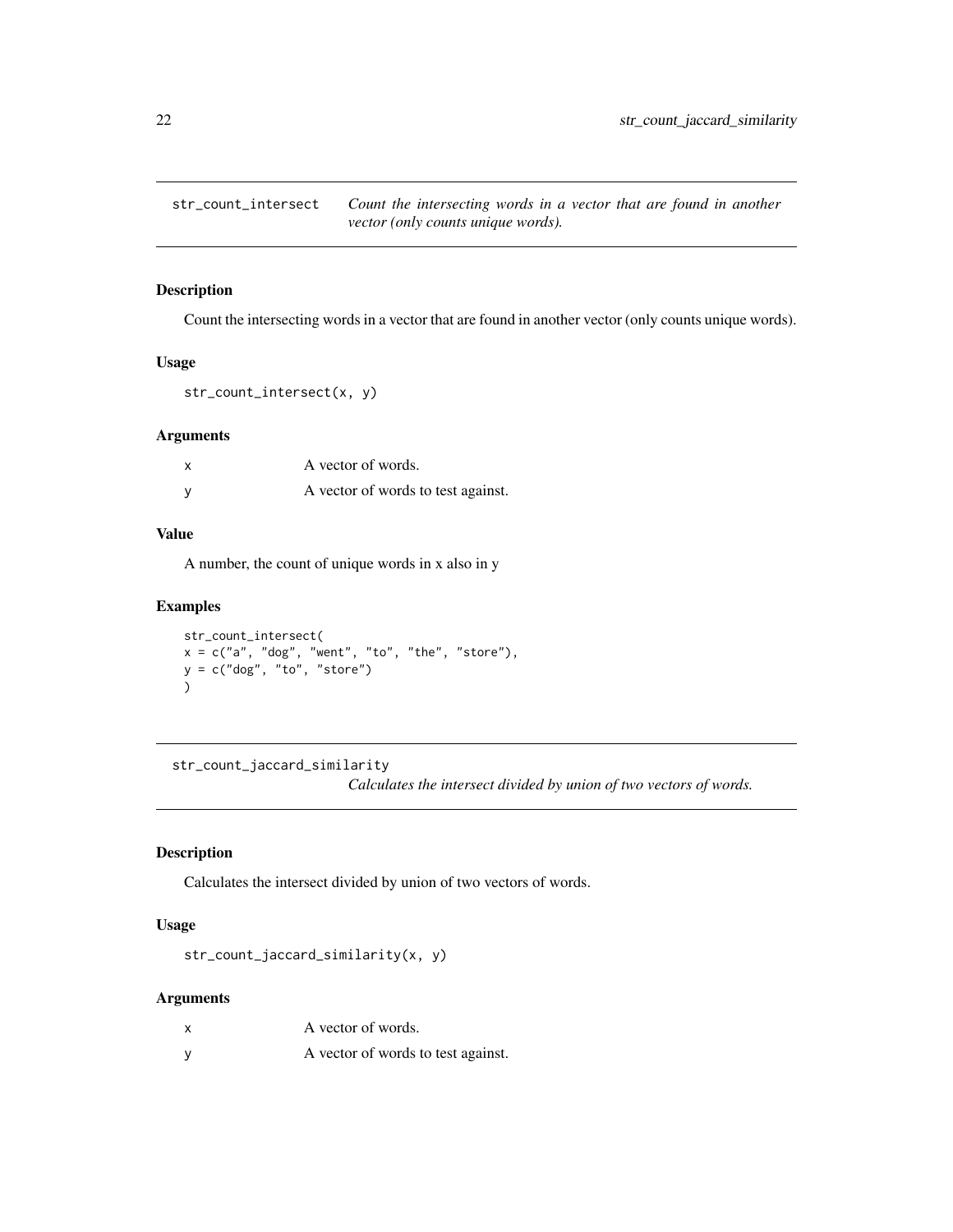<span id="page-21-0"></span>

# Description

Count the intersecting words in a vector that are found in another vector (only counts unique words).

#### Usage

```
str_count_intersect(x, y)
```
# Arguments

| X        | A vector of words.                 |
|----------|------------------------------------|
| <b>V</b> | A vector of words to test against. |

#### Value

A number, the count of unique words in x also in y

#### Examples

```
str_count_intersect(
x = c("a", "dog", "went", "to", "the", "store"),y = c("dog", "to", "store")
\mathcal{L}
```
str\_count\_jaccard\_similarity

*Calculates the intersect divided by union of two vectors of words.*

## Description

Calculates the intersect divided by union of two vectors of words.

# Usage

str\_count\_jaccard\_similarity(x, y)

#### Arguments

| A vector of words.                 |
|------------------------------------|
| A vector of words to test against. |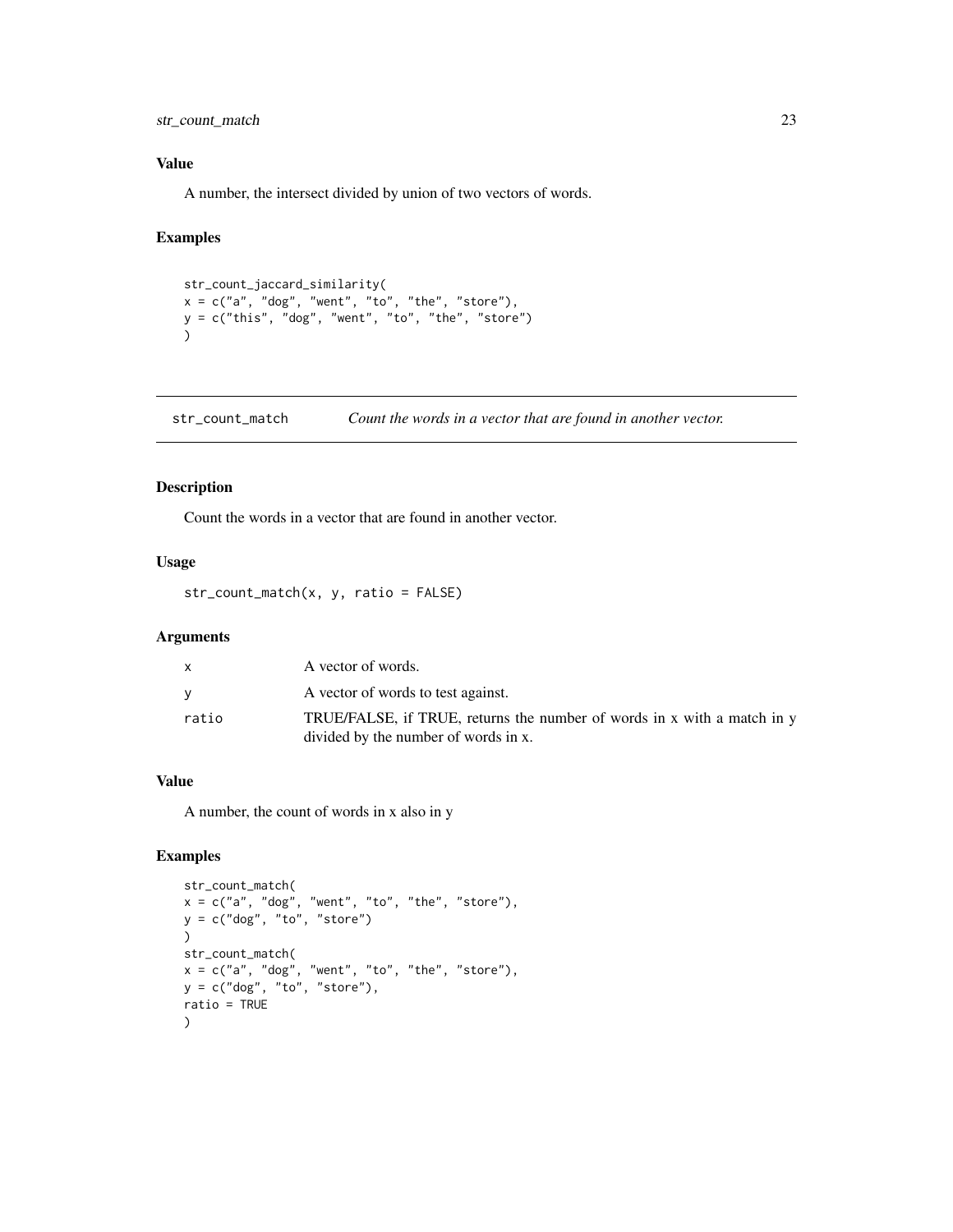<span id="page-22-0"></span>str\_count\_match 23

## Value

A number, the intersect divided by union of two vectors of words.

## Examples

```
str_count_jaccard_similarity(
x = c("a", "dog", "went", "to", "the", "store"),y = c("this", "dog", "went", "to", "the", "store")\mathcal{L}
```
str\_count\_match *Count the words in a vector that are found in another vector.*

# Description

Count the words in a vector that are found in another vector.

## Usage

str\_count\_match(x, y, ratio = FALSE)

#### Arguments

| X     | A vector of words.                                                                                              |
|-------|-----------------------------------------------------------------------------------------------------------------|
|       | A vector of words to test against.                                                                              |
| ratio | TRUE/FALSE, if TRUE, returns the number of words in x with a match in y<br>divided by the number of words in x. |

# Value

A number, the count of words in x also in y

```
str_count_match(
x = c("a", "dog", "went", "to", "the", "store"),
y = c("dog", "to", "store")
\lambdastr_count_match(
x = c("a", "dog", "went", "to", "the", "store"),
y = c("dog", "to", "store"),
ratio = TRUE
\lambda
```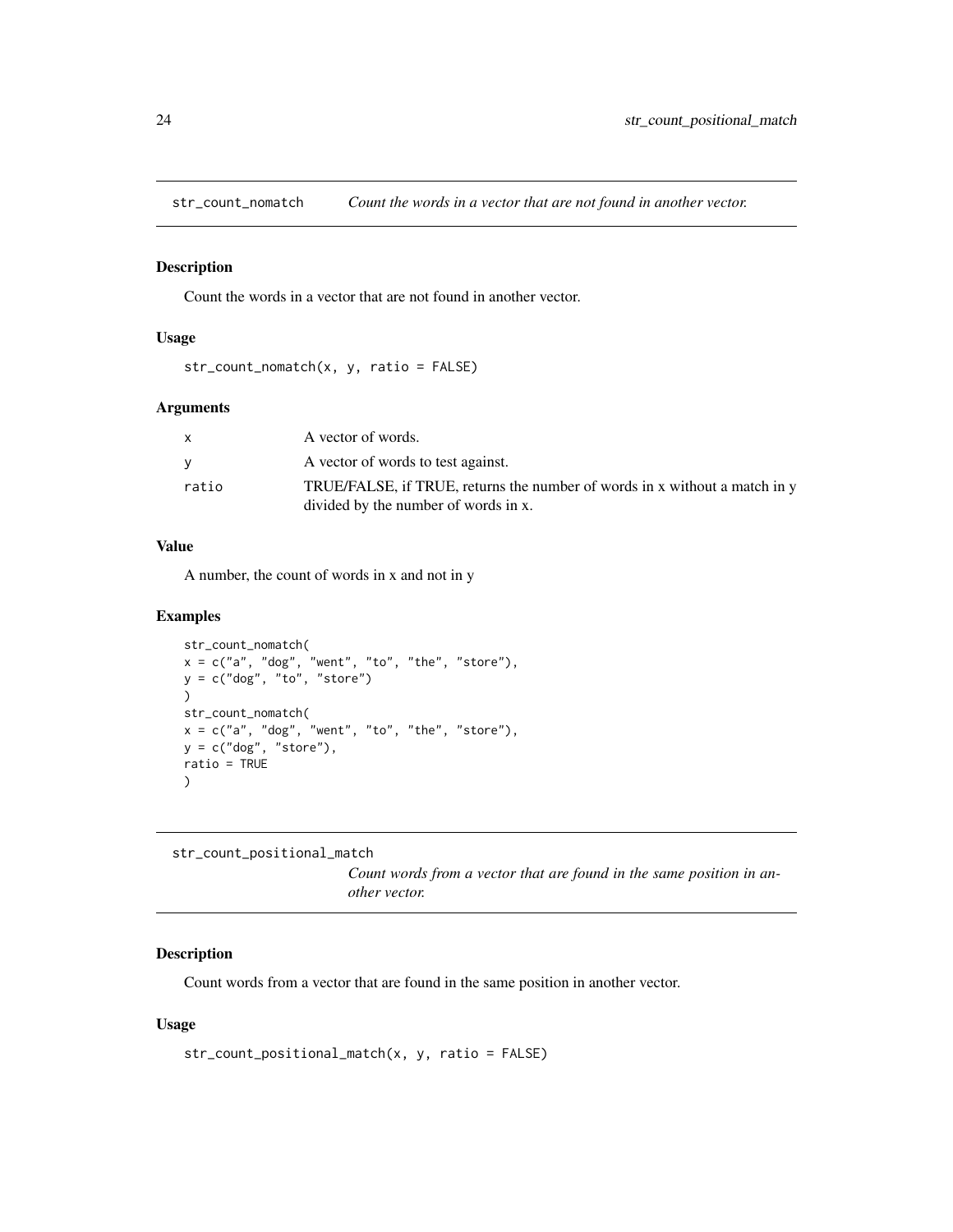<span id="page-23-0"></span>str\_count\_nomatch *Count the words in a vector that are not found in another vector.*

## Description

Count the words in a vector that are not found in another vector.

#### Usage

```
str_count_nomatch(x, y, ratio = FALSE)
```
# Arguments

|       | A vector of words.                                                         |
|-------|----------------------------------------------------------------------------|
|       | A vector of words to test against.                                         |
| ratio | TRUE/FALSE, if TRUE, returns the number of words in x without a match in y |
|       | divided by the number of words in x.                                       |

## Value

A number, the count of words in x and not in y

# Examples

```
str_count_nomatch(
x = c("a", "dog", "went", "to", "the", "store"),
y = c("dog", "to", "store")
\lambdastr_count_nomatch(
x = c("a", "dog", "went", "to", "the", "store"),y = c("dog", "store"),ratio = TRUE
)
```
str\_count\_positional\_match

*Count words from a vector that are found in the same position in another vector.*

# Description

Count words from a vector that are found in the same position in another vector.

#### Usage

```
str_count_positional_match(x, y, ratio = FALSE)
```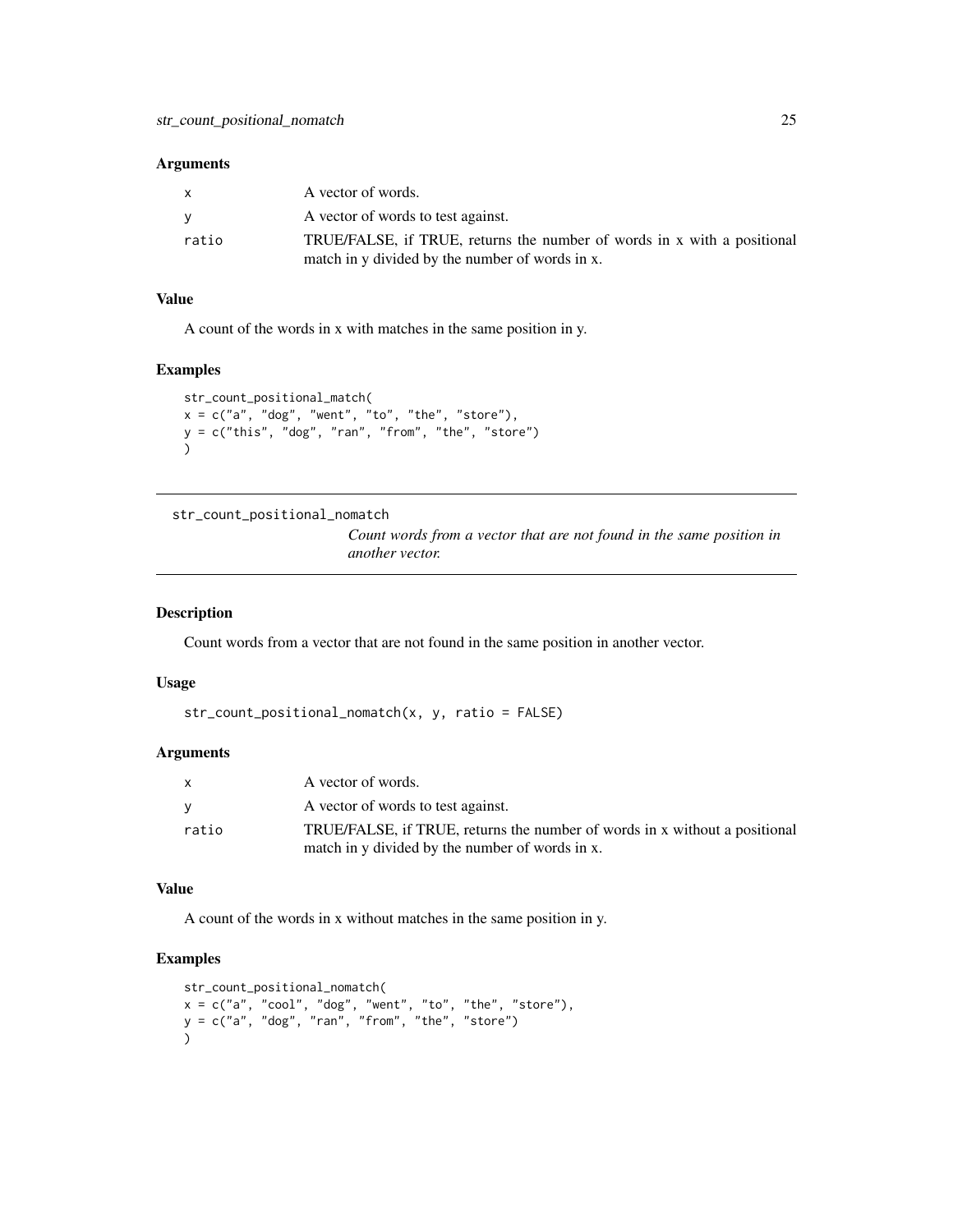<span id="page-24-0"></span>

| X     | A vector of words.                                                      |
|-------|-------------------------------------------------------------------------|
|       | A vector of words to test against.                                      |
| ratio | TRUE/FALSE, if TRUE, returns the number of words in x with a positional |
|       | match in y divided by the number of words in x.                         |

# Value

A count of the words in x with matches in the same position in y.

# Examples

```
str_count_positional_match(
x = c("a", "dog", "went", "to", "the", "store"),y = c("this", "dog", "ran", "from", "the", "store")
\lambda
```

```
str_count_positional_nomatch
```
*Count words from a vector that are not found in the same position in another vector.*

#### Description

Count words from a vector that are not found in the same position in another vector.

#### Usage

```
str_count_positional_nomatch(x, y, ratio = FALSE)
```
# Arguments

| X     | A vector of words.                                                         |
|-------|----------------------------------------------------------------------------|
| V     | A vector of words to test against.                                         |
| ratio | TRUE/FALSE, if TRUE, returns the number of words in x without a positional |
|       | match in y divided by the number of words in x.                            |

#### Value

A count of the words in x without matches in the same position in y.

```
str_count_positional_nomatch(
x = c("a", "cool", "dog", "went", "to", "the", "store"),
y = c("a", "dog", "ran", "from", "the", "store")
\lambda
```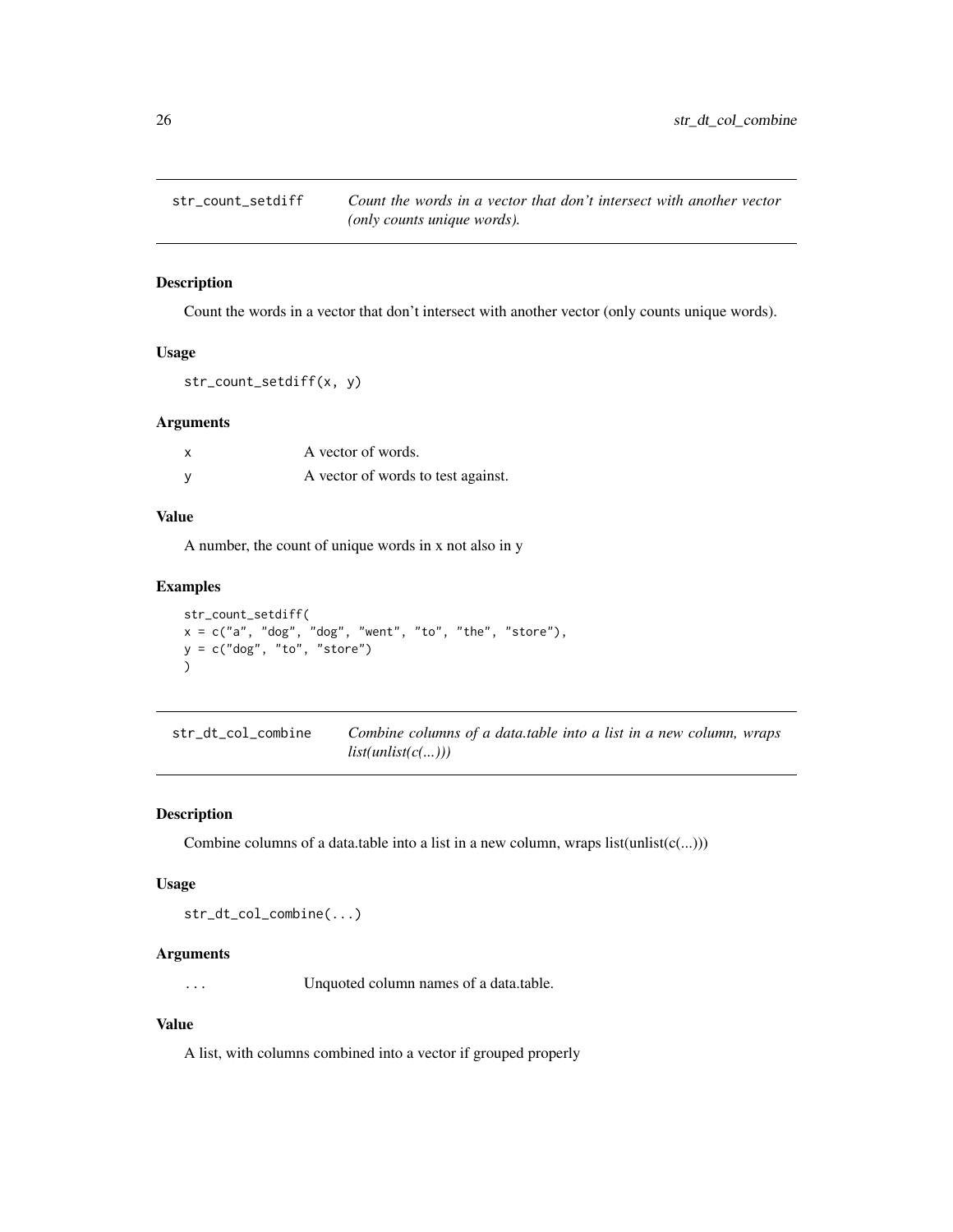<span id="page-25-0"></span>

# Description

Count the words in a vector that don't intersect with another vector (only counts unique words).

#### Usage

```
str_count_setdiff(x, y)
```
#### Arguments

| A vector of words.                 |
|------------------------------------|
| A vector of words to test against. |

## Value

A number, the count of unique words in x not also in y

# Examples

```
str_count_setdiff(
x = c("a", "dog", "dog", "went", "to", "the", "store"),y = c("dog", "to", "store")
\lambda
```

| str_dt_col_combine | Combine columns of a data.table into a list in a new column, wraps |  |
|--------------------|--------------------------------------------------------------------|--|
|                    | list(unlist(c()))                                                  |  |

# Description

Combine columns of a data.table into a list in a new column, wraps list(unlist(c(...)))

# Usage

str\_dt\_col\_combine(...)

## Arguments

... Unquoted column names of a data.table.

# Value

A list, with columns combined into a vector if grouped properly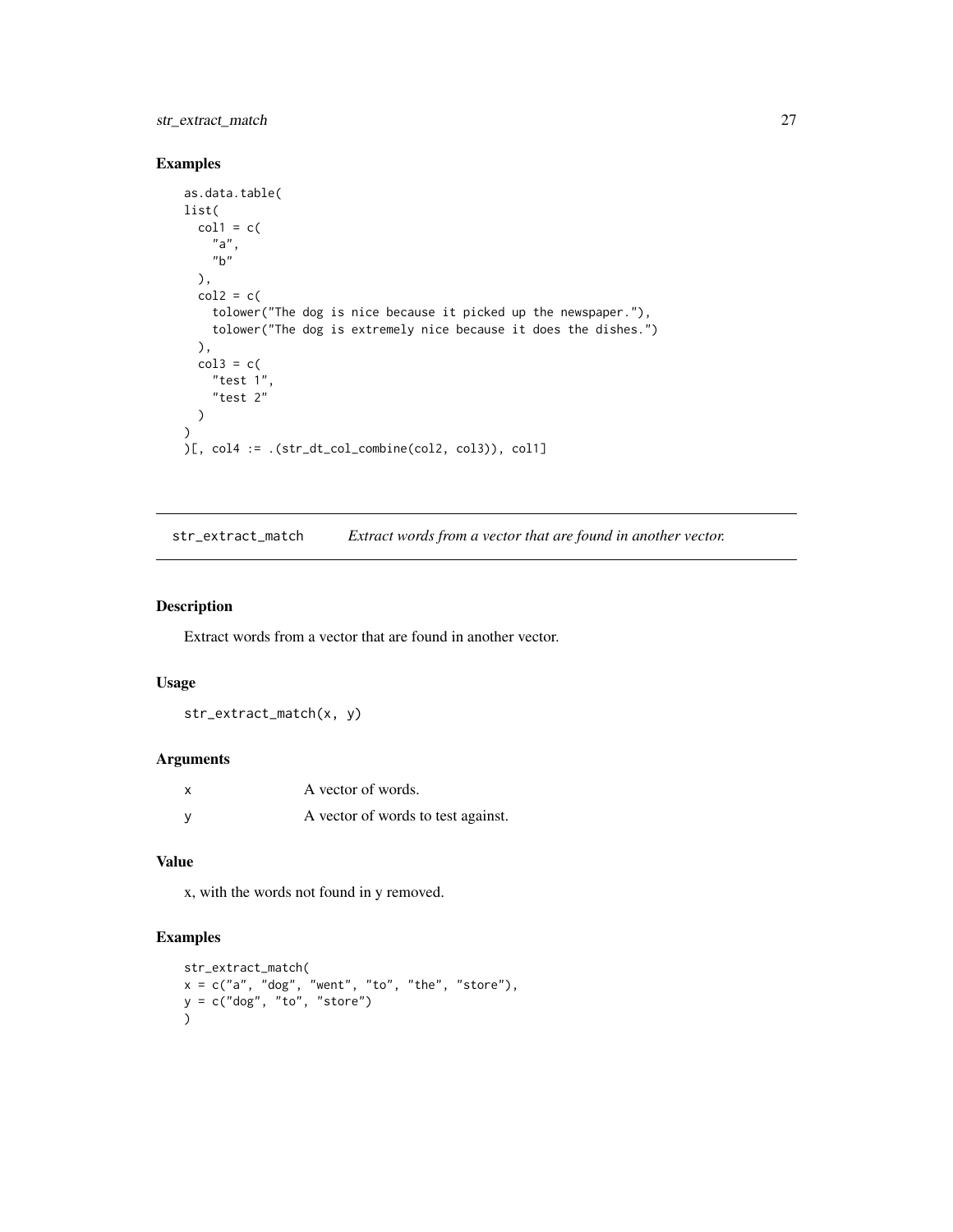# <span id="page-26-0"></span>str\_extract\_match 27

# Examples

```
as.data.table(
list(
  col1 = c("a",
    "b"
  ),
  col2 = c(tolower("The dog is nice because it picked up the newspaper."),
    tolower("The dog is extremely nice because it does the dishes.")
  ),
  col3 = c("test 1",
    "test 2"
  \lambda)
)[, col4 := .(str_dt_col_combine(col2, col3)), col1]
```
str\_extract\_match *Extract words from a vector that are found in another vector.*

#### Description

Extract words from a vector that are found in another vector.

#### Usage

str\_extract\_match(x, y)

#### Arguments

|   | A vector of words.                 |
|---|------------------------------------|
| v | A vector of words to test against. |

## Value

x, with the words not found in y removed.

```
str_extract_match(
x = c("a", "dog", "went", "to", "the", "store"),
y = c("dog", "to", "store")
\mathcal{L}
```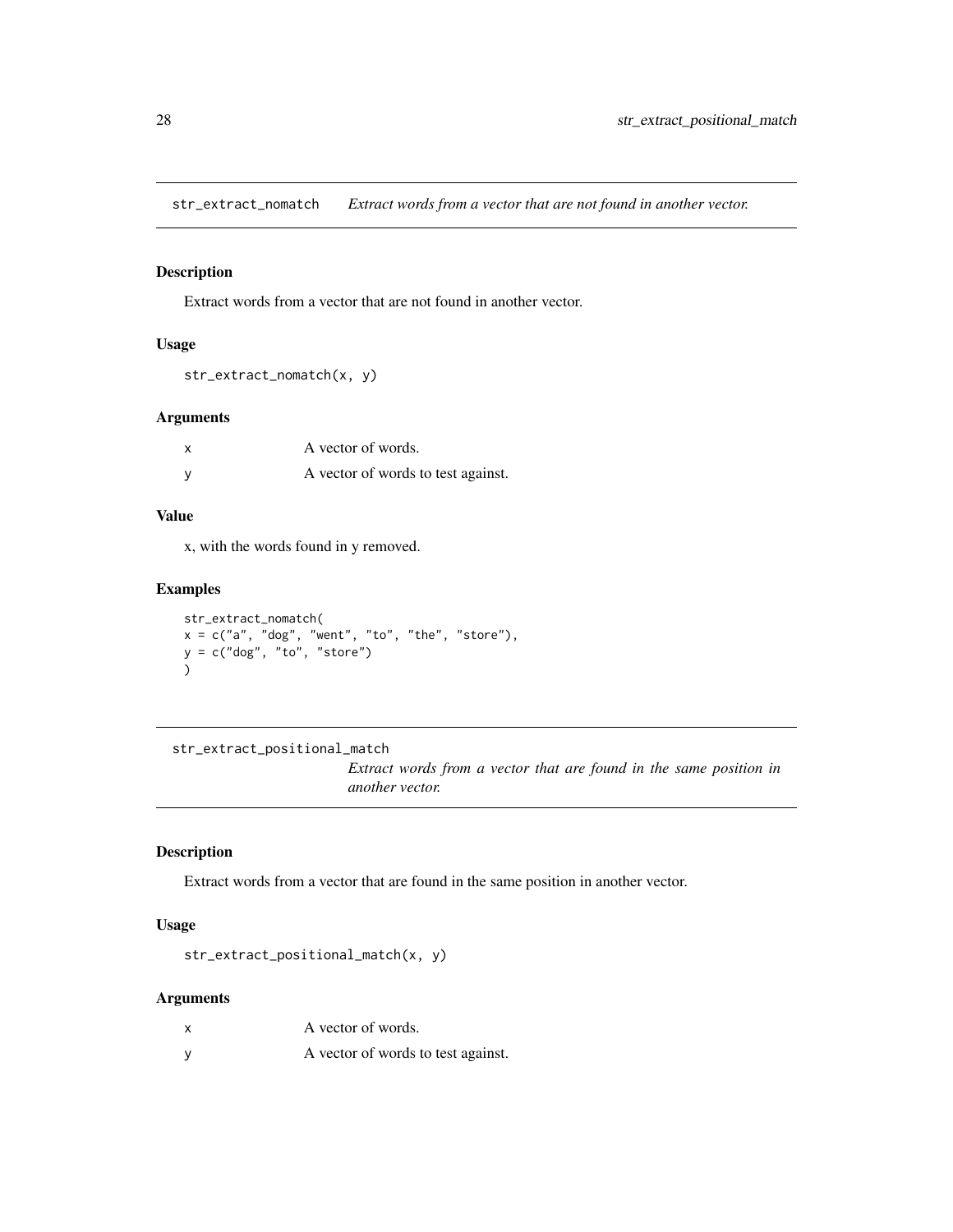<span id="page-27-0"></span>str\_extract\_nomatch *Extract words from a vector that are not found in another vector.*

# Description

Extract words from a vector that are not found in another vector.

## Usage

```
str_extract_nomatch(x, y)
```
#### Arguments

| A vector of words.                 |
|------------------------------------|
| A vector of words to test against. |

#### Value

x, with the words found in y removed.

# Examples

```
str_extract_nomatch(
x = c("a", "dog", "went", "to", "the", "store"),y = c("dog", "to", "store")\lambda
```
str\_extract\_positional\_match

*Extract words from a vector that are found in the same position in another vector.*

# Description

Extract words from a vector that are found in the same position in another vector.

# Usage

str\_extract\_positional\_match(x, y)

#### Arguments

| A vector of words.                 |
|------------------------------------|
| A vector of words to test against. |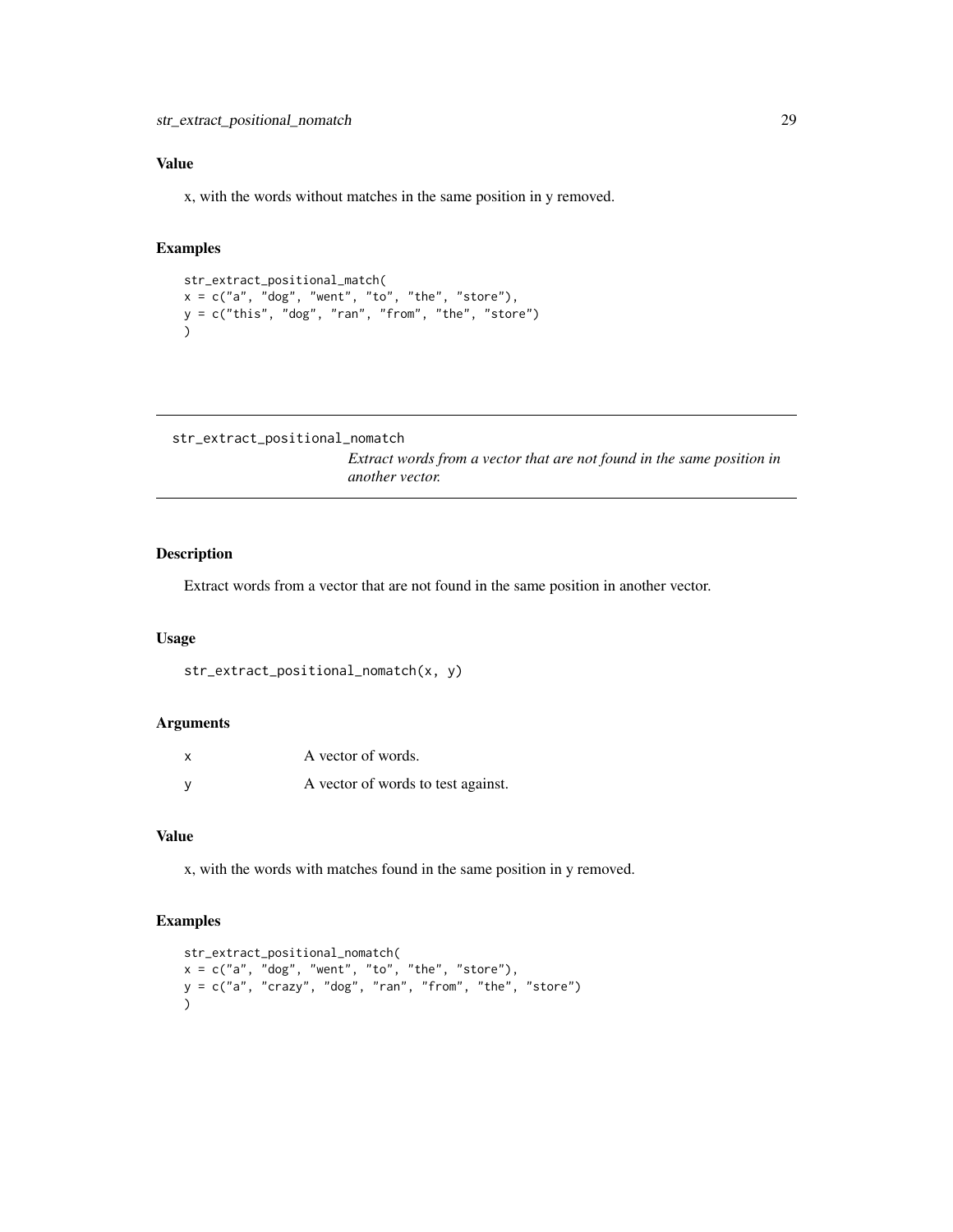# <span id="page-28-0"></span>Value

x, with the words without matches in the same position in y removed.

# Examples

```
str_extract_positional_match(
x = c("a", "dog", "went", "to", "the", "store"),y = c("this", "dog", "ran", "from", "the", "store")
)
```

```
str_extract_positional_nomatch
```
*Extract words from a vector that are not found in the same position in another vector.*

#### Description

Extract words from a vector that are not found in the same position in another vector.

## Usage

```
str_extract_positional_nomatch(x, y)
```
#### Arguments

| $\boldsymbol{\mathsf{x}}$ | A vector of words.                 |
|---------------------------|------------------------------------|
|                           | A vector of words to test against. |

## Value

x, with the words with matches found in the same position in y removed.

```
str_extract_positional_nomatch(
x = c("a", "dog", "went", "to", "the", "store"),y = c("a", "crazy", "dog", "ran", "from", "the", "store")
)
```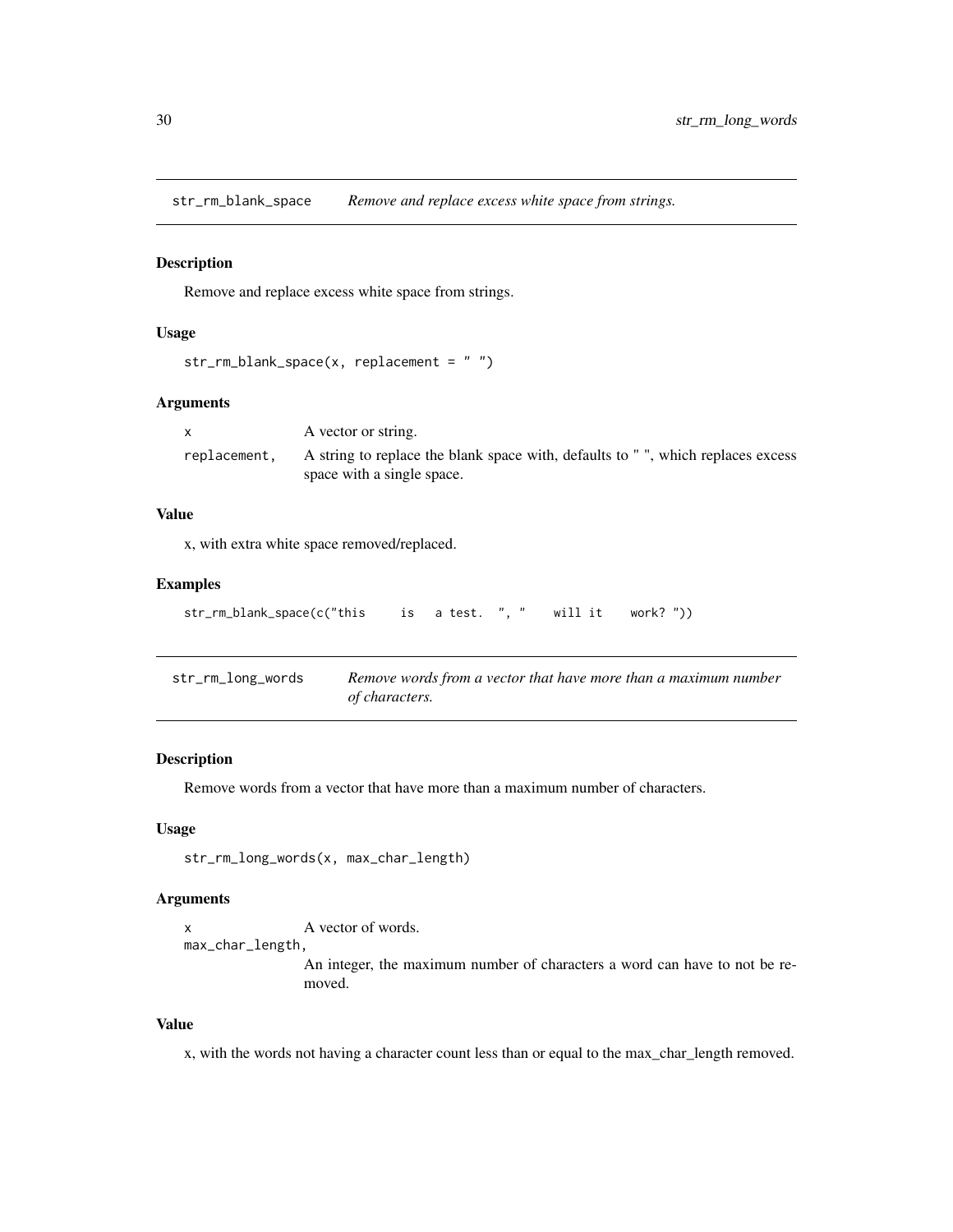<span id="page-29-0"></span>str\_rm\_blank\_space *Remove and replace excess white space from strings.*

#### Description

Remove and replace excess white space from strings.

## Usage

```
str_rm_blank_space(x, replacement = " ")
```
# Arguments

| A vector or string.                                                                                          |
|--------------------------------------------------------------------------------------------------------------|
| A string to replace the blank space with, defaults to ", which replaces excess<br>space with a single space. |
|                                                                                                              |

## Value

x, with extra white space removed/replaced.

#### Examples

```
str_rm_blank_space(c("this is a test. ", " will it work? "))
```

| str_rm_long_words | Remove words from a vector that have more than a maximum number |
|-------------------|-----------------------------------------------------------------|
|                   | of characters.                                                  |

#### Description

Remove words from a vector that have more than a maximum number of characters.

# Usage

```
str_rm_long_words(x, max_char_length)
```
# Arguments

```
x A vector of words.
```
max\_char\_length,

An integer, the maximum number of characters a word can have to not be removed.

## Value

x, with the words not having a character count less than or equal to the max\_char\_length removed.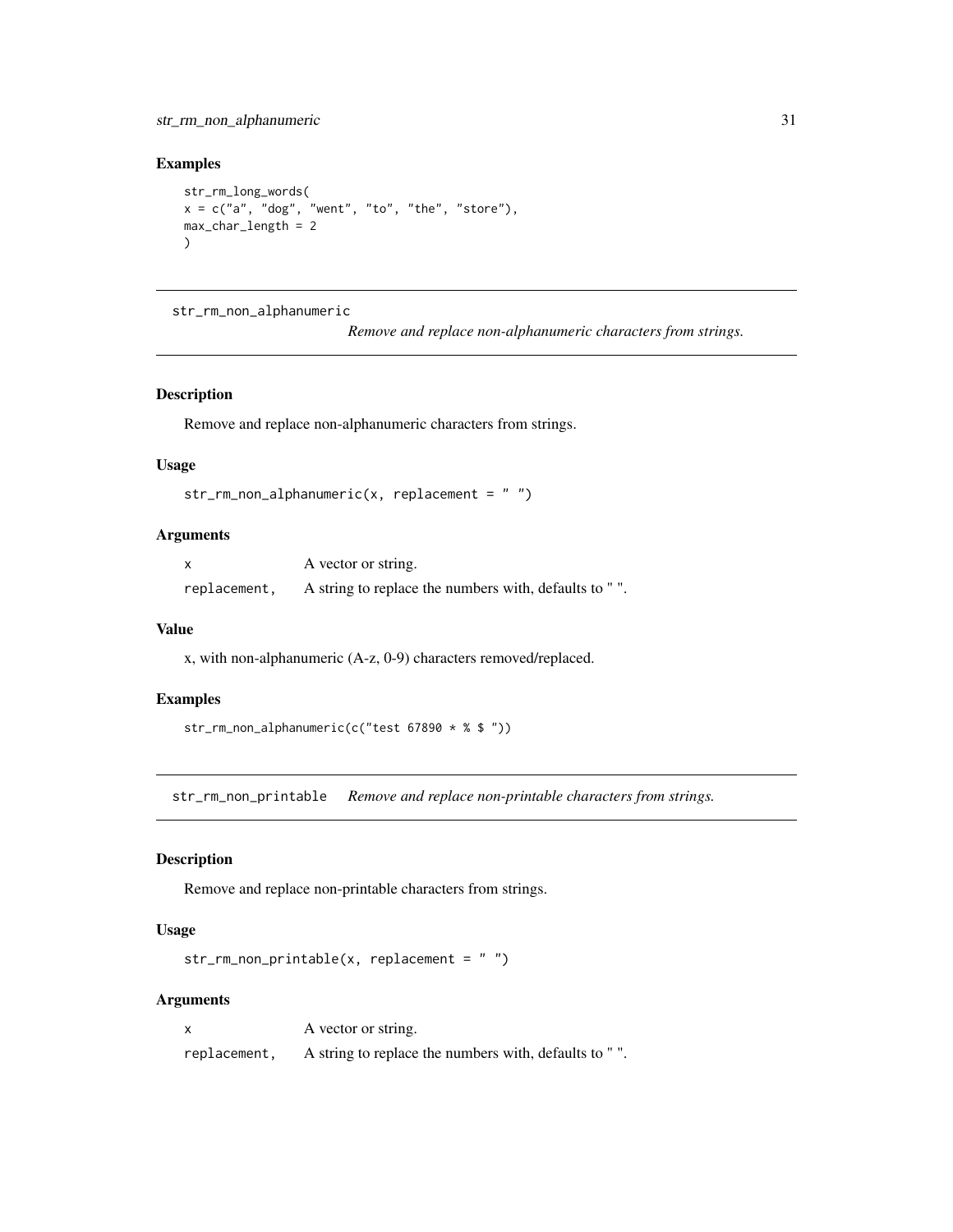<span id="page-30-0"></span>str\_rm\_non\_alphanumeric 31

## Examples

```
str_rm_long_words(
x = c("a", "dog", "went", "to", "the", "store"),max_char_length = 2
\lambda
```
str\_rm\_non\_alphanumeric

*Remove and replace non-alphanumeric characters from strings.*

# Description

Remove and replace non-alphanumeric characters from strings.

## Usage

```
str_rm_non_alphanumeric(x, replacement = " ")
```
# Arguments

|              | A vector or string.                                   |
|--------------|-------------------------------------------------------|
| replacement, | A string to replace the numbers with, defaults to "". |

#### Value

x, with non-alphanumeric (A-z, 0-9) characters removed/replaced.

# Examples

str\_rm\_non\_alphanumeric(c("test 67890 \* % \$ "))

str\_rm\_non\_printable *Remove and replace non-printable characters from strings.*

# Description

Remove and replace non-printable characters from strings.

# Usage

```
str_rmm_lon_printable(x, replacement = "")
```
# Arguments

|              | A vector or string.                                   |
|--------------|-------------------------------------------------------|
| replacement, | A string to replace the numbers with, defaults to "". |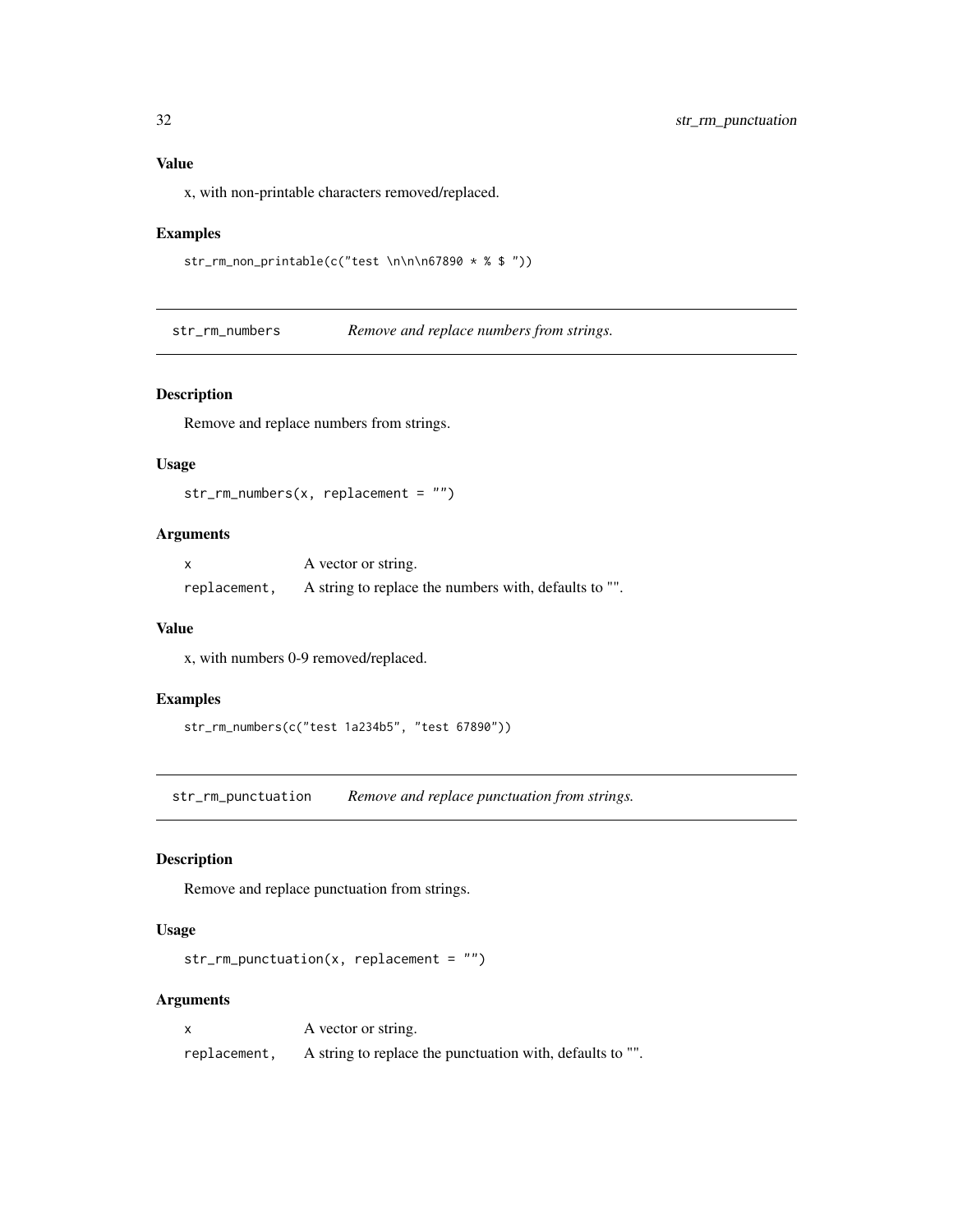#### Value

x, with non-printable characters removed/replaced.

#### Examples

```
str_rm_non_printable(c("test \n\n\n67890 * % $ "))
```
str\_rm\_numbers *Remove and replace numbers from strings.*

## Description

Remove and replace numbers from strings.

## Usage

```
str_rm_numbers(x, replacement = "")
```
# Arguments

|              | A vector or string.                                   |
|--------------|-------------------------------------------------------|
| replacement, | A string to replace the numbers with, defaults to "". |

#### Value

x, with numbers 0-9 removed/replaced.

## Examples

```
str_rm_numbers(c("test 1a234b5", "test 67890"))
```
str\_rm\_punctuation *Remove and replace punctuation from strings.*

# Description

Remove and replace punctuation from strings.

# Usage

```
str\_rm\_punction(x, replacement = "")
```
# Arguments

|              | A vector or string.                                       |
|--------------|-----------------------------------------------------------|
| replacement, | A string to replace the punctuation with, defaults to "". |

<span id="page-31-0"></span>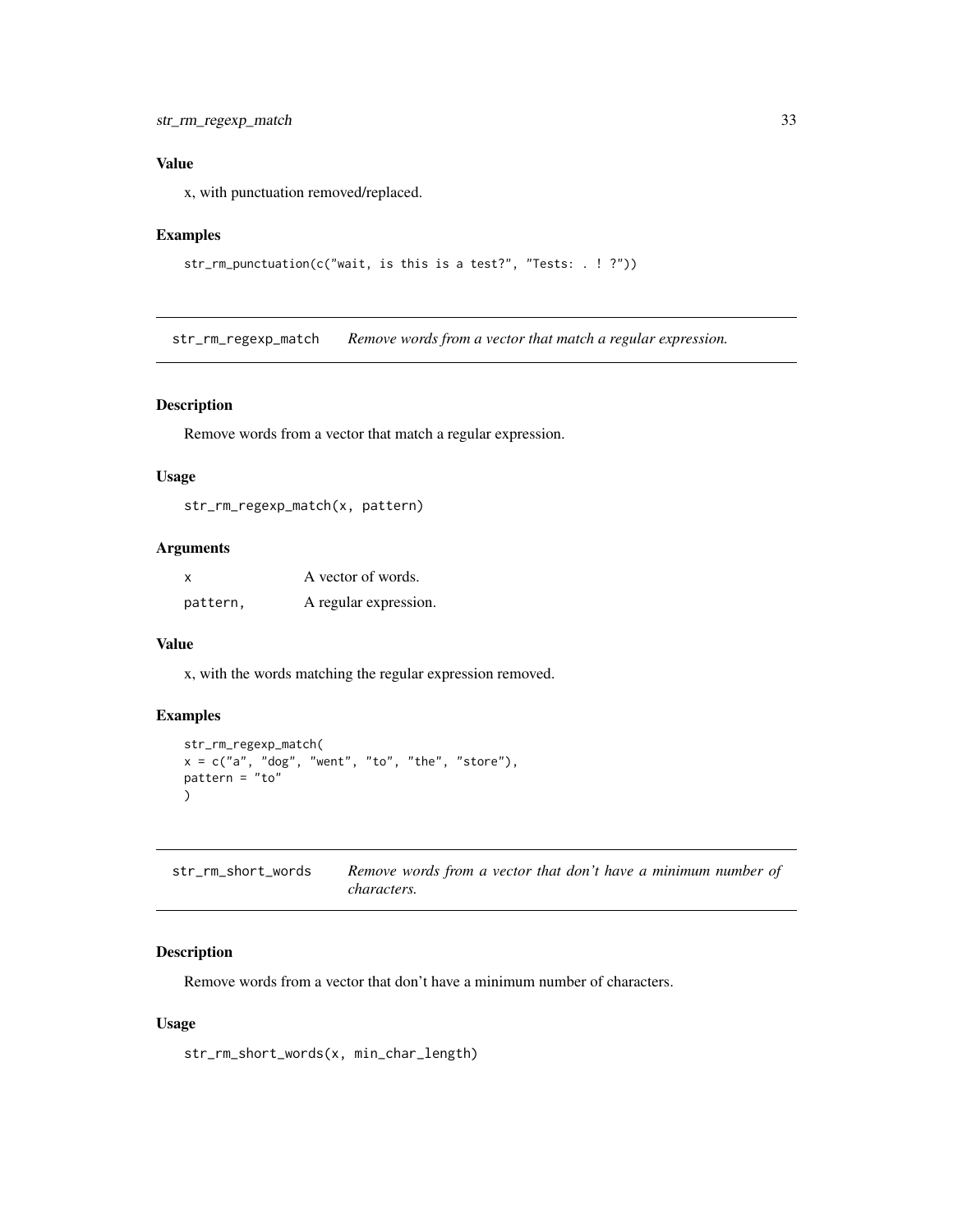# <span id="page-32-0"></span>Value

x, with punctuation removed/replaced.

# Examples

```
str_rm_punctuation(c("wait, is this is a test?", "Tests: . ! ?"))
```
str\_rm\_regexp\_match *Remove words from a vector that match a regular expression.*

## Description

Remove words from a vector that match a regular expression.

#### Usage

```
str_rm_regexp_match(x, pattern)
```
# Arguments

| $\boldsymbol{\mathsf{x}}$ | A vector of words.    |
|---------------------------|-----------------------|
| pattern,                  | A regular expression. |

#### Value

x, with the words matching the regular expression removed.

# Examples

```
str_rm_regexp_match(
x = c("a", "dog", "went", "to", "the", "store"),pattern = "to")
```

| str_rm_short_words | Remove words from a vector that don't have a minimum number of |
|--------------------|----------------------------------------------------------------|
|                    | <i>characters.</i>                                             |

## Description

Remove words from a vector that don't have a minimum number of characters.

# Usage

str\_rm\_short\_words(x, min\_char\_length)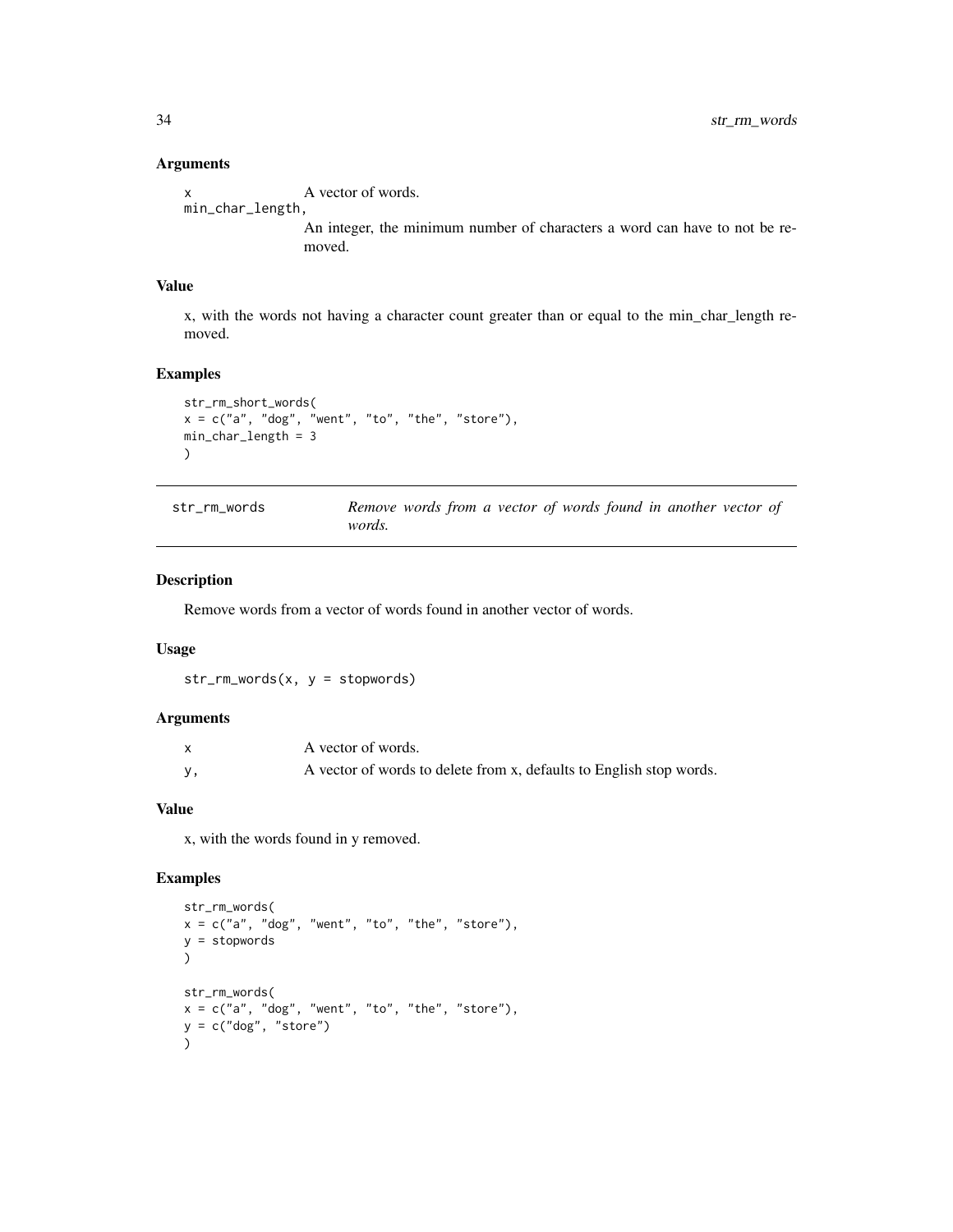x A vector of words. min\_char\_length,

> An integer, the minimum number of characters a word can have to not be removed.

#### Value

x, with the words not having a character count greater than or equal to the min\_char\_length removed.

## Examples

```
str_rm_short_words(
x = c("a", "dog", "went", "to", "the", "store"),min_char_length = 3
\mathcal{L}
```

| str rm words |               |  |  |  |  | Remove words from a vector of words found in another vector of |  |
|--------------|---------------|--|--|--|--|----------------------------------------------------------------|--|
|              | <i>words.</i> |  |  |  |  |                                                                |  |

## Description

Remove words from a vector of words found in another vector of words.

## Usage

```
str\_rm\_words(x, y = stopwords)
```
#### Arguments

| A vector of words.                                                  |
|---------------------------------------------------------------------|
| A vector of words to delete from x, defaults to English stop words. |

#### Value

x, with the words found in y removed.

```
str_rm_words(
x = c("a", "dog", "went", "to", "the", "store"),y = stopwords
\mathcal{L}str_rm_words(
x = c("a", "dog", "went", "to", "the", "store"),y = c("dog", "store")\mathcal{L}
```
<span id="page-33-0"></span>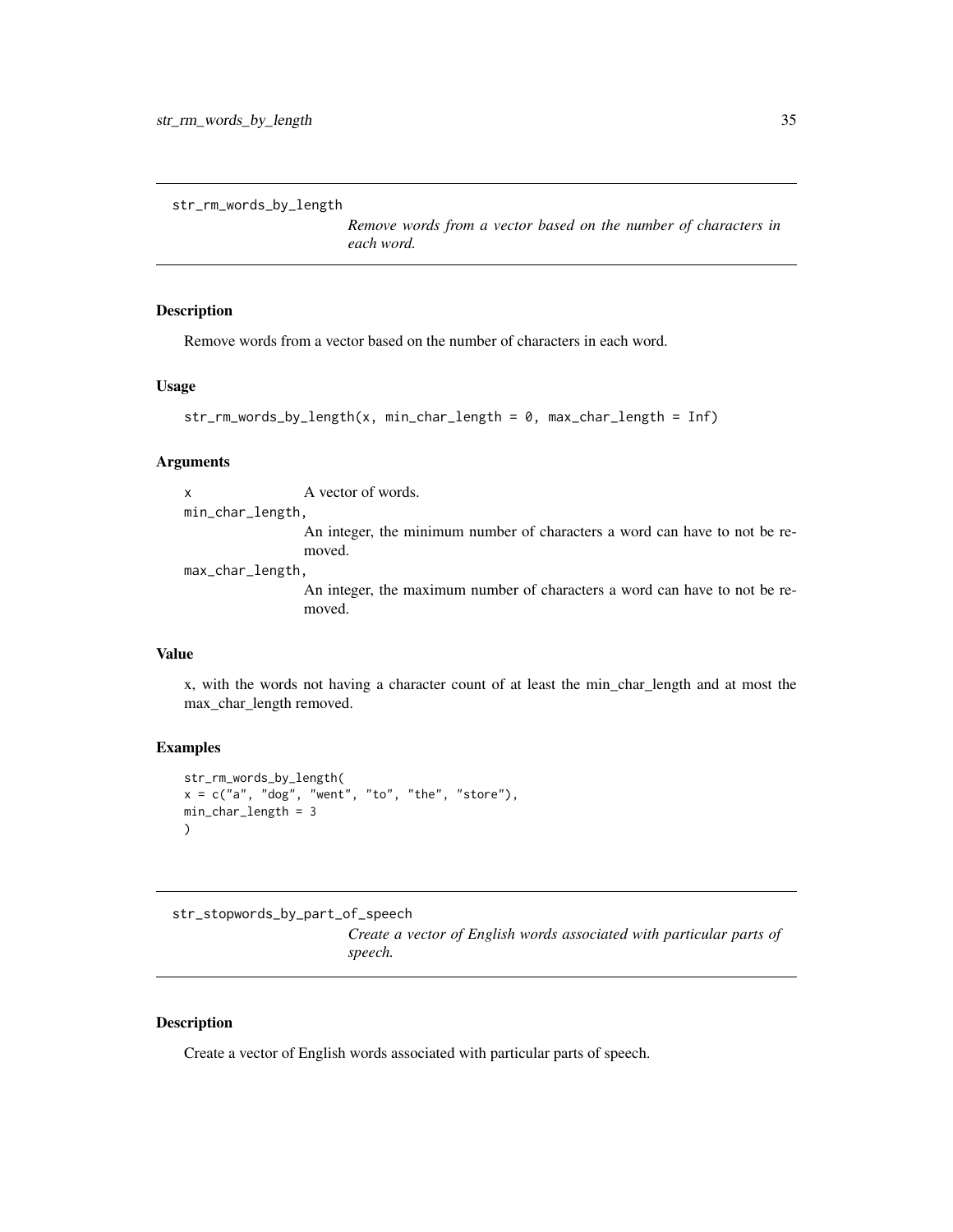```
str_rm_words_by_length
```
*Remove words from a vector based on the number of characters in each word.*

#### Description

Remove words from a vector based on the number of characters in each word.

#### Usage

```
str_rm_words_by_length(x, min_char_length = 0, max_char_length = Inf)
```
#### Arguments

x A vector of words.

min\_char\_length,

An integer, the minimum number of characters a word can have to not be removed.

max\_char\_length,

An integer, the maximum number of characters a word can have to not be removed.

# Value

x, with the words not having a character count of at least the min\_char\_length and at most the max\_char\_length removed.

# Examples

```
str_rm_words_by_length(
x = c("a", "dog", "went", "to", "the", "store"),min_char_length = 3
)
```
str\_stopwords\_by\_part\_of\_speech

*Create a vector of English words associated with particular parts of speech.*

#### Description

Create a vector of English words associated with particular parts of speech.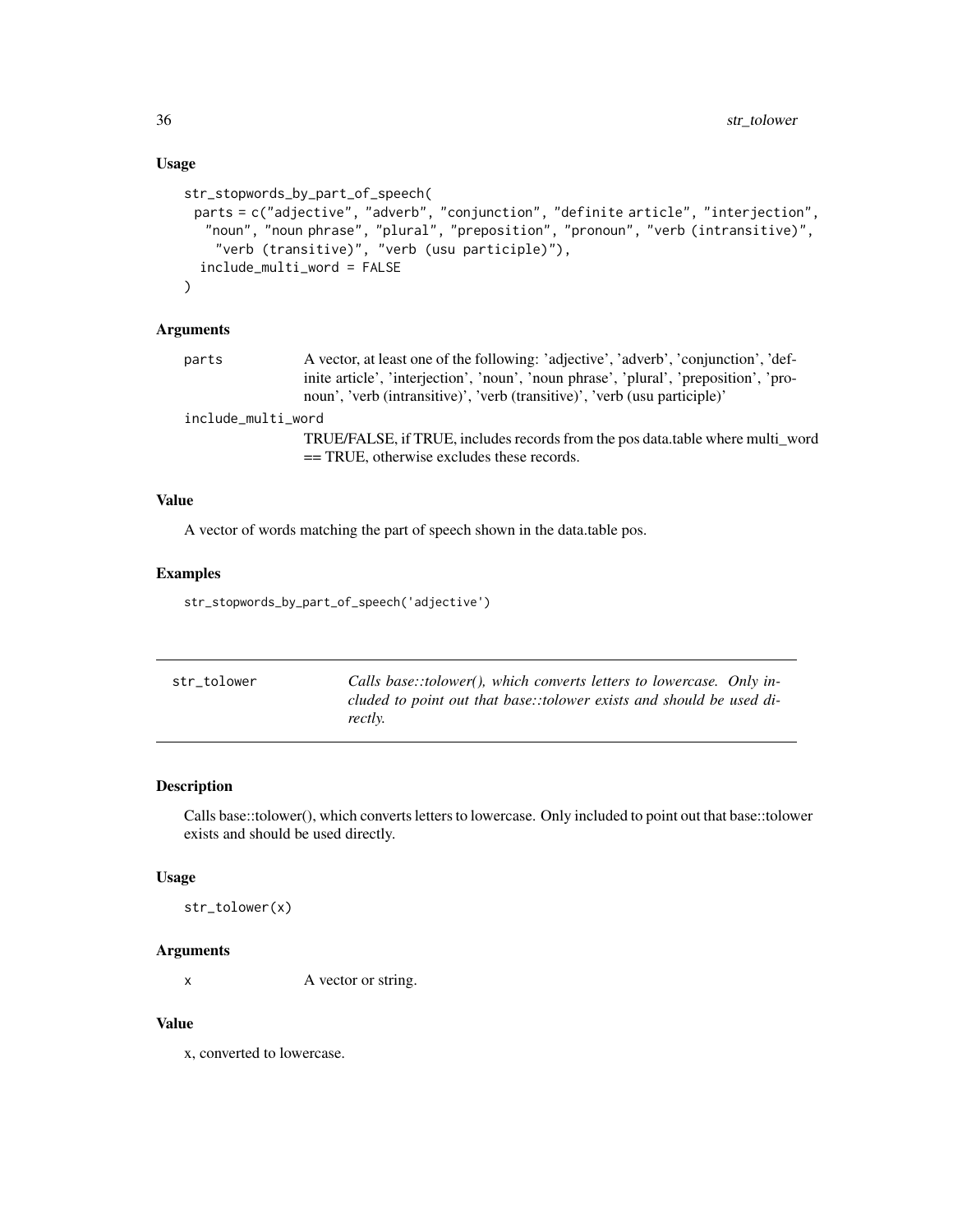# Usage

```
str_stopwords_by_part_of_speech(
 parts = c("adjective", "adverb", "conjunction", "definite article", "interjection",
   "noun", "noun phrase", "plural", "preposition", "pronoun", "verb (intransitive)",
    "verb (transitive)", "verb (usu participle)"),
  include_multi_word = FALSE
)
```
#### Arguments

| parts | A vector, at least one of the following: 'adjective', 'adverb', 'conjunction', 'def-  |
|-------|---------------------------------------------------------------------------------------|
|       | inite article', 'interjection', 'noun', 'noun phrase', 'plural', 'preposition', 'pro- |
|       | noun', 'verb (intransitive)', 'verb (transitive)', 'verb (usu participle)'            |

include\_multi\_word

TRUE/FALSE, if TRUE, includes records from the pos data.table where multi\_word == TRUE, otherwise excludes these records.

# Value

A vector of words matching the part of speech shown in the data.table pos.

# Examples

str\_stopwords\_by\_part\_of\_speech('adjective')

| str tolower | Calls base::tolower(), which converts letters to lowercase. Only in-            |
|-------------|---------------------------------------------------------------------------------|
|             | cluded to point out that base::tolower exists and should be used di-<br>rectly. |
|             |                                                                                 |

# Description

Calls base::tolower(), which converts letters to lowercase. Only included to point out that base::tolower exists and should be used directly.

#### Usage

str\_tolower(x)

# Arguments

x A vector or string.

# Value

x, converted to lowercase.

<span id="page-35-0"></span>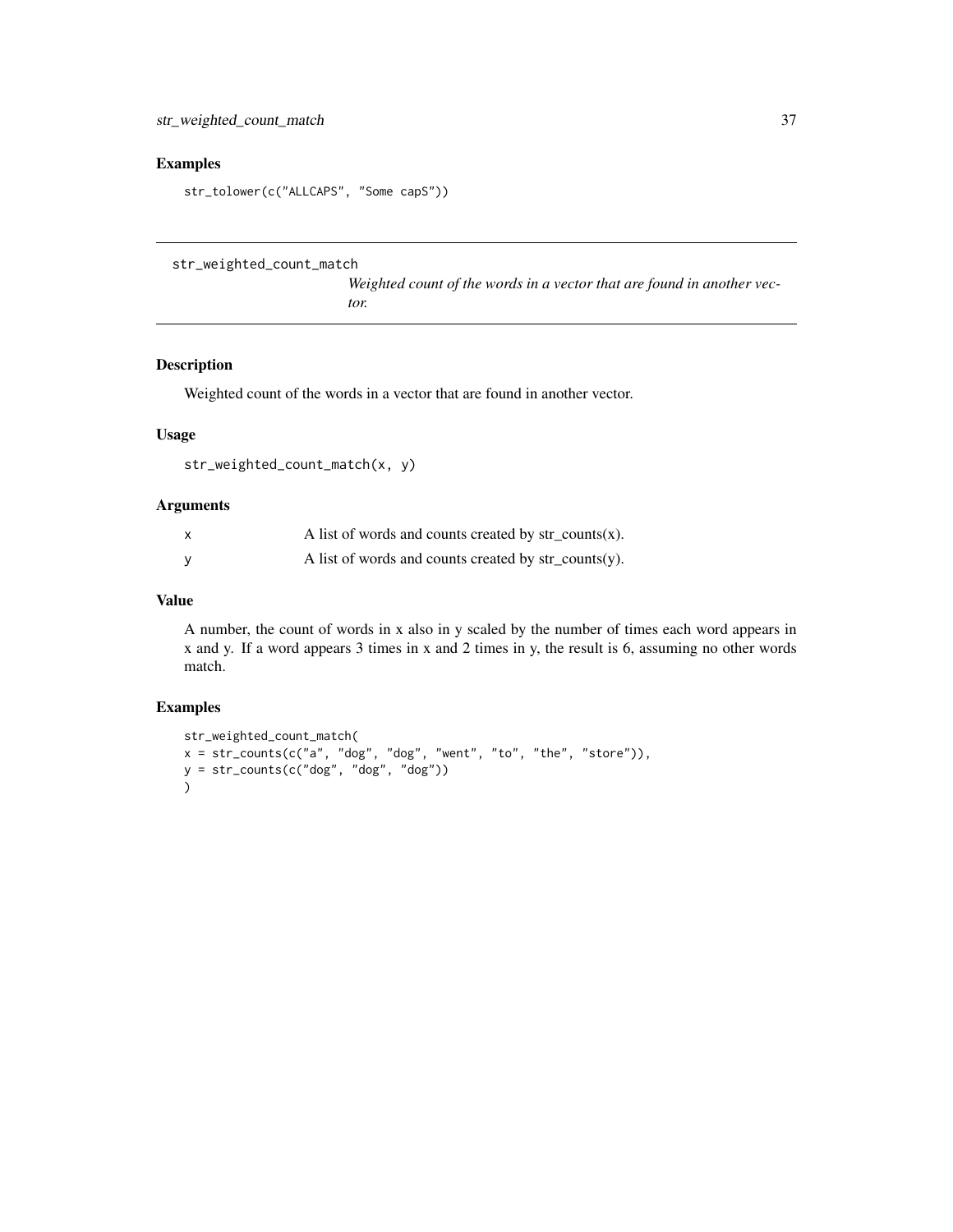# <span id="page-36-0"></span>Examples

```
str_tolower(c("ALLCAPS", "Some capS"))
```
str\_weighted\_count\_match

*Weighted count of the words in a vector that are found in another vector.*

## Description

Weighted count of the words in a vector that are found in another vector.

# Usage

```
str_weighted_count_match(x, y)
```
# Arguments

| $\times$ | A list of words and counts created by $str\_counts(x)$ . |
|----------|----------------------------------------------------------|
|          | A list of words and counts created by $str\_counts(y)$ . |

# Value

A number, the count of words in x also in y scaled by the number of times each word appears in x and y. If a word appears 3 times in x and 2 times in y, the result is 6, assuming no other words match.

```
str_weighted_count_match(
x = str\_counts(c("a", "dog", "dog", "went", "to", "the", "store")),
y = str_counts(c("dog", "dog", "dog"))
\overline{\phantom{a}}
```